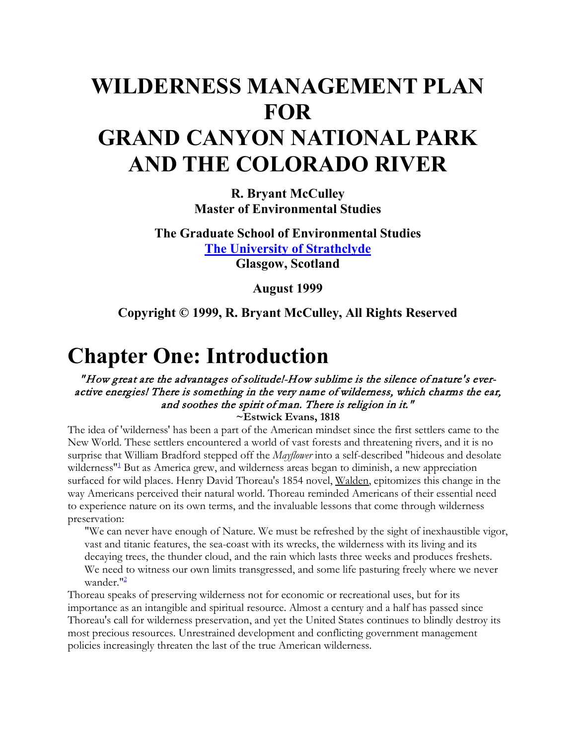# **WILDERNESS MANAGEMENT PLAN FOR GRAND CANYON NATIONAL PARK AND THE COLORADO RIVER**

**R. Bryant McCulley Master of Environmental Studies**

**The Graduate School of Environmental Studies [The University of Strathclyde](http://www.strath.ac.uk/Departments/GSES/) Glasgow, Scotland**

**August 1999**

**Copyright © 1999, R. Bryant McCulley, All Rights Reserved**

# **Chapter One: Introduction**

#### " How great are the advantages of solitude!-How sublime is the silence of nature's everactive energies! There is something in the very name of wilderness, which charms the ear, and soothes the spirit of man. There is religion in it."

**~Estwick Evans, 1818**

The idea of 'wilderness' has been a part of the American mindset since the first settlers came to the New World. These settlers encountered a world of vast forests and threatening rivers, and it is no surprise that William Bradford stepped off the *Mayflower* into a self-described "hideous and desolate wilderness<sup>"1</sup> But as America grew, and wilderness areas began to diminish, a new appreciation surfaced for wild places. Henry David Thoreau's 1854 novel, Walden, epitomizes this change in the way Americans perceived their natural world. Thoreau reminded Americans of their essential need to experience nature on its own terms, and the invaluable lessons that come through wilderness preservation:

"We can never have enough of Nature. We must be refreshed by the sight of inexhaustible vigor, vast and titanic features, the sea-coast with its wrecks, the wilderness with its living and its decaying trees, the thunder cloud, and the rain which lasts three weeks and produces freshets. We need to witness our own limits transgressed, and some life pasturing freely where we never wander."2

Thoreau speaks of preserving wilderness not for economic or recreational uses, but for its importance as an intangible and spiritual resource. Almost a century and a half has passed since Thoreau's call for wilderness preservation, and yet the United States continues to blindly destroy its most precious resources. Unrestrained development and conflicting government management policies increasingly threaten the last of the true American wilderness.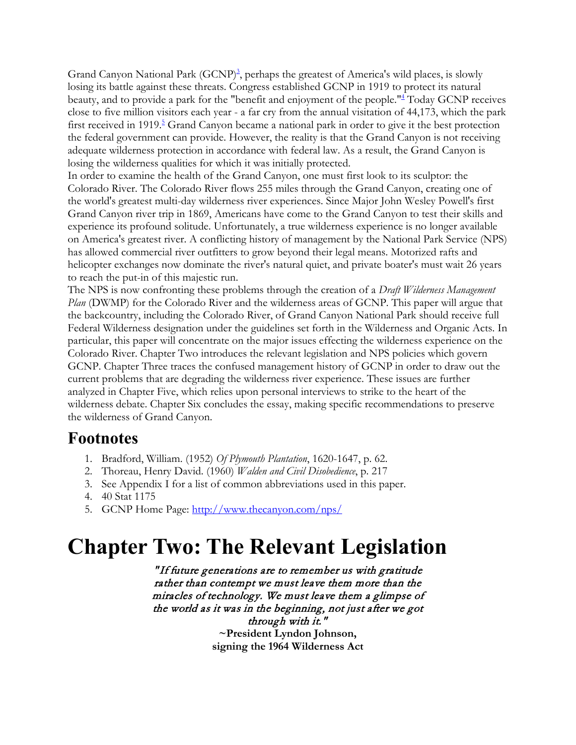Grand Canyon National Park (GCNP)<sup>3</sup>, perhaps the greatest of America's wild places, is slowly losing its battle against these threats. Congress established GCNP in 1919 to protect its natural beauty, and to provide a park for the "benefit and enjoyment of the people."4 Today GCNP receives close to five million visitors each year - a far cry from the annual visitation of 44,173, which the park first received in 1919.<sup>5</sup> Grand Canyon became a national park in order to give it the best protection the federal government can provide. However, the reality is that the Grand Canyon is not receiving adequate wilderness protection in accordance with federal law. As a result, the Grand Canyon is losing the wilderness qualities for which it was initially protected.

In order to examine the health of the Grand Canyon, one must first look to its sculptor: the Colorado River. The Colorado River flows 255 miles through the Grand Canyon, creating one of the world's greatest multi-day wilderness river experiences. Since Major John Wesley Powell's first Grand Canyon river trip in 1869, Americans have come to the Grand Canyon to test their skills and experience its profound solitude. Unfortunately, a true wilderness experience is no longer available on America's greatest river. A conflicting history of management by the National Park Service (NPS) has allowed commercial river outfitters to grow beyond their legal means. Motorized rafts and helicopter exchanges now dominate the river's natural quiet, and private boater's must wait 26 years to reach the put-in of this majestic run.

The NPS is now confronting these problems through the creation of a *Draft Wilderness Management Plan* (DWMP) for the Colorado River and the wilderness areas of GCNP. This paper will argue that the backcountry, including the Colorado River, of Grand Canyon National Park should receive full Federal Wilderness designation under the guidelines set forth in the Wilderness and Organic Acts. In particular, this paper will concentrate on the major issues effecting the wilderness experience on the Colorado River. Chapter Two introduces the relevant legislation and NPS policies which govern GCNP. Chapter Three traces the confused management history of GCNP in order to draw out the current problems that are degrading the wilderness river experience. These issues are further analyzed in Chapter Five, which relies upon personal interviews to strike to the heart of the wilderness debate. Chapter Six concludes the essay, making specific recommendations to preserve the wilderness of Grand Canyon.

#### **Footnotes**

- 1. Bradford, William. (1952) *Of Plymouth Plantation*, 1620-1647, p. 62.
- 2. Thoreau, Henry David. (1960) *Walden and Civil Disobedience*, p. 217
- 3. See Appendix I for a list of common abbreviations used in this paper.
- 4. 40 Stat 1175
- 5. GCNP Home Page:<http://www.thecanyon.com/nps/>

# **Chapter Two: The Relevant Legislation**

" If future generations are to remember us with gratitude rather than contempt we must leave them more than the miracles of technology. We must leave them a glimpse of the world as it was in the beginning, not just after we got through with it." **~President Lyndon Johnson, signing the 1964 Wilderness Act**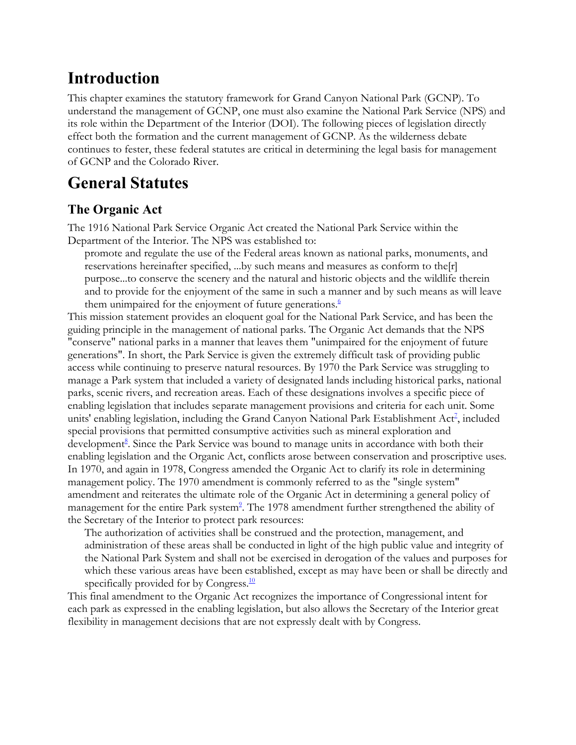## **Introduction**

This chapter examines the statutory framework for Grand Canyon National Park (GCNP). To understand the management of GCNP, one must also examine the National Park Service (NPS) and its role within the Department of the Interior (DOI). The following pieces of legislation directly effect both the formation and the current management of GCNP. As the wilderness debate continues to fester, these federal statutes are critical in determining the legal basis for management of GCNP and the Colorado River.

### **General Statutes**

#### **The Organic Act**

The 1916 National Park Service Organic Act created the National Park Service within the Department of the Interior. The NPS was established to:

promote and regulate the use of the Federal areas known as national parks, monuments, and reservations hereinafter specified, ...by such means and measures as conform to the[r] purpose...to conserve the scenery and the natural and historic objects and the wildlife therein and to provide for the enjoyment of the same in such a manner and by such means as will leave them unimpaired for the enjoyment of future generations. $6$ 

This mission statement provides an eloquent goal for the National Park Service, and has been the guiding principle in the management of national parks. The Organic Act demands that the NPS "conserve" national parks in a manner that leaves them "unimpaired for the enjoyment of future generations". In short, the Park Service is given the extremely difficult task of providing public access while continuing to preserve natural resources. By 1970 the Park Service was struggling to manage a Park system that included a variety of designated lands including historical parks, national parks, scenic rivers, and recreation areas. Each of these designations involves a specific piece of enabling legislation that includes separate management provisions and criteria for each unit. Some units' enabling legislation, including the Grand Canyon National Park Establishment Act<sup>7</sup>, included special provisions that permitted consumptive activities such as mineral exploration and development<sup>8</sup>. Since the Park Service was bound to manage units in accordance with both their enabling legislation and the Organic Act, conflicts arose between conservation and proscriptive uses. In 1970, and again in 1978, Congress amended the Organic Act to clarify its role in determining management policy. The 1970 amendment is commonly referred to as the "single system" amendment and reiterates the ultimate role of the Organic Act in determining a general policy of management for the entire Park system<sup>2</sup>. The 1978 amendment further strengthened the ability of the Secretary of the Interior to protect park resources:

The authorization of activities shall be construed and the protection, management, and administration of these areas shall be conducted in light of the high public value and integrity of the National Park System and shall not be exercised in derogation of the values and purposes for which these various areas have been established, except as may have been or shall be directly and specifically provided for by Congress.<sup>10</sup>

This final amendment to the Organic Act recognizes the importance of Congressional intent for each park as expressed in the enabling legislation, but also allows the Secretary of the Interior great flexibility in management decisions that are not expressly dealt with by Congress.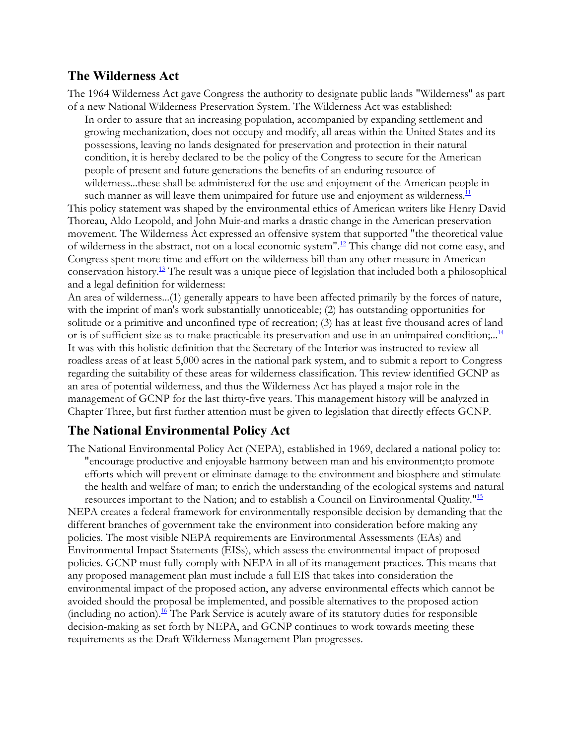#### **The Wilderness Act**

The 1964 Wilderness Act gave Congress the authority to designate public lands "Wilderness" as part of a new National Wilderness Preservation System. The Wilderness Act was established:

In order to assure that an increasing population, accompanied by expanding settlement and growing mechanization, does not occupy and modify, all areas within the United States and its possessions, leaving no lands designated for preservation and protection in their natural condition, it is hereby declared to be the policy of the Congress to secure for the American people of present and future generations the benefits of an enduring resource of wilderness...these shall be administered for the use and enjoyment of the American people in

such manner as will leave them unimpaired for future use and enjoyment as wilderness. $\frac{11}{1}$ This policy statement was shaped by the environmental ethics of American writers like Henry David Thoreau, Aldo Leopold, and John Muir-and marks a drastic change in the American preservation movement. The Wilderness Act expressed an offensive system that supported "the theoretical value of wilderness in the abstract, not on a local economic system".12 This change did not come easy, and Congress spent more time and effort on the wilderness bill than any other measure in American conservation history.13 The result was a unique piece of legislation that included both a philosophical and a legal definition for wilderness:

An area of wilderness...(1) generally appears to have been affected primarily by the forces of nature, with the imprint of man's work substantially unnoticeable; (2) has outstanding opportunities for solitude or a primitive and unconfined type of recreation; (3) has at least five thousand acres of land or is of sufficient size as to make practicable its preservation and use in an unimpaired condition;...<sup>14</sup> It was with this holistic definition that the Secretary of the Interior was instructed to review all roadless areas of at least 5,000 acres in the national park system, and to submit a report to Congress regarding the suitability of these areas for wilderness classification. This review identified GCNP as an area of potential wilderness, and thus the Wilderness Act has played a major role in the management of GCNP for the last thirty-five years. This management history will be analyzed in Chapter Three, but first further attention must be given to legislation that directly effects GCNP.

#### **The National Environmental Policy Act**

The National Environmental Policy Act (NEPA), established in 1969, declared a national policy to: "encourage productive and enjoyable harmony between man and his environment;to promote efforts which will prevent or eliminate damage to the environment and biosphere and stimulate the health and welfare of man; to enrich the understanding of the ecological systems and natural

resources important to the Nation; and to establish a Council on Environmental Quality."15 NEPA creates a federal framework for environmentally responsible decision by demanding that the different branches of government take the environment into consideration before making any policies. The most visible NEPA requirements are Environmental Assessments (EAs) and Environmental Impact Statements (EISs), which assess the environmental impact of proposed policies. GCNP must fully comply with NEPA in all of its management practices. This means that any proposed management plan must include a full EIS that takes into consideration the environmental impact of the proposed action, any adverse environmental effects which cannot be avoided should the proposal be implemented, and possible alternatives to the proposed action (including no action).<sup>16</sup> The Park Service is acutely aware of its statutory duties for responsible decision-making as set forth by NEPA, and GCNP continues to work towards meeting these requirements as the Draft Wilderness Management Plan progresses.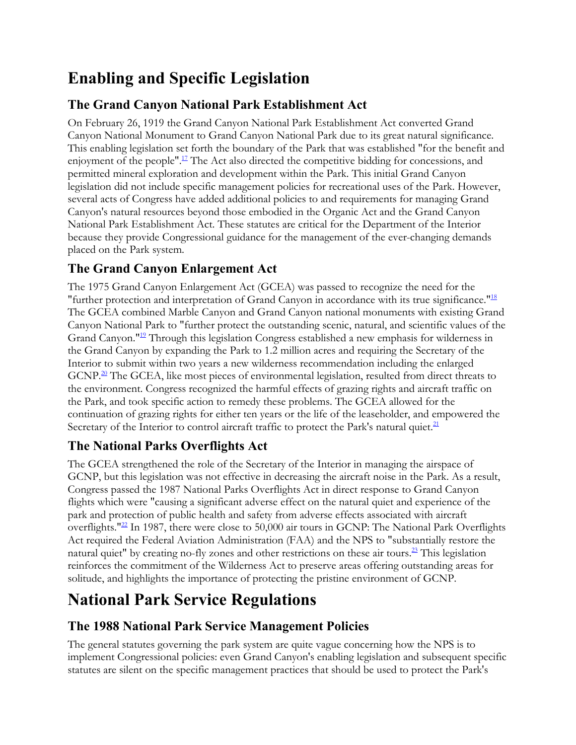# **Enabling and Specific Legislation**

#### **The Grand Canyon National Park Establishment Act**

On February 26, 1919 the Grand Canyon National Park Establishment Act converted Grand Canyon National Monument to Grand Canyon National Park due to its great natural significance. This enabling legislation set forth the boundary of the Park that was established "for the benefit and enjoyment of the people".<sup>17</sup> The Act also directed the competitive bidding for concessions, and permitted mineral exploration and development within the Park. This initial Grand Canyon legislation did not include specific management policies for recreational uses of the Park. However, several acts of Congress have added additional policies to and requirements for managing Grand Canyon's natural resources beyond those embodied in the Organic Act and the Grand Canyon National Park Establishment Act. These statutes are critical for the Department of the Interior because they provide Congressional guidance for the management of the ever-changing demands placed on the Park system.

#### **The Grand Canyon Enlargement Act**

The 1975 Grand Canyon Enlargement Act (GCEA) was passed to recognize the need for the "further protection and interpretation of Grand Canyon in accordance with its true significance."<sup>18</sup> The GCEA combined Marble Canyon and Grand Canyon national monuments with existing Grand Canyon National Park to "further protect the outstanding scenic, natural, and scientific values of the Grand Canyon."<sup>19</sup> Through this legislation Congress established a new emphasis for wilderness in the Grand Canyon by expanding the Park to 1.2 million acres and requiring the Secretary of the Interior to submit within two years a new wilderness recommendation including the enlarged  $GCNP<sup>20</sup>$  The GCEA, like most pieces of environmental legislation, resulted from direct threats to the environment. Congress recognized the harmful effects of grazing rights and aircraft traffic on the Park, and took specific action to remedy these problems. The GCEA allowed for the continuation of grazing rights for either ten years or the life of the leaseholder, and empowered the Secretary of the Interior to control aircraft traffic to protect the Park's natural quiet. $21$ 

#### **The National Parks Overflights Act**

The GCEA strengthened the role of the Secretary of the Interior in managing the airspace of GCNP, but this legislation was not effective in decreasing the aircraft noise in the Park. As a result, Congress passed the 1987 National Parks Overflights Act in direct response to Grand Canyon flights which were "causing a significant adverse effect on the natural quiet and experience of the park and protection of public health and safety from adverse effects associated with aircraft overflights."<sup>22</sup> In 1987, there were close to 50,000 air tours in GCNP: The National Park Overflights Act required the Federal Aviation Administration (FAA) and the NPS to "substantially restore the natural quiet" by creating no-fly zones and other restrictions on these air tours.23 This legislation reinforces the commitment of the Wilderness Act to preserve areas offering outstanding areas for solitude, and highlights the importance of protecting the pristine environment of GCNP.

# **National Park Service Regulations**

#### **The 1988 National Park Service Management Policies**

The general statutes governing the park system are quite vague concerning how the NPS is to implement Congressional policies: even Grand Canyon's enabling legislation and subsequent specific statutes are silent on the specific management practices that should be used to protect the Park's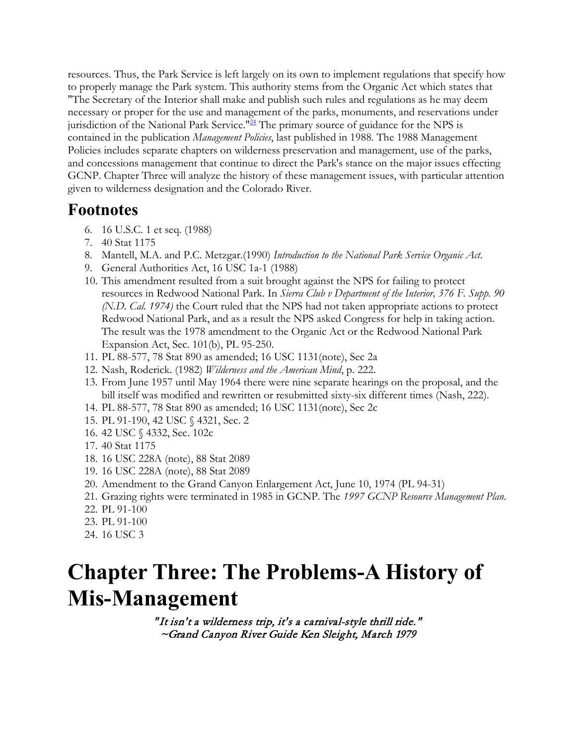resources. Thus, the Park Service is left largely on its own to implement regulations that specify how to properly manage the Park system. This authority stems from the Organic Act which states that "The Secretary of the Interior shall make and publish such rules and regulations as he may deem necessary or proper for the use and management of the parks, monuments, and reservations under jurisdiction of the National Park Service."<sup>24</sup> The primary source of guidance for the NPS is contained in the publication *Management Policies*, last published in 1988. The 1988 Management Policies includes separate chapters on wilderness preservation and management, use of the parks, and concessions management that continue to direct the Park's stance on the major issues effecting GCNP. Chapter Three will analyze the history of these management issues, with particular attention given to wilderness designation and the Colorado River.

#### **Footnotes**

- 6. 16 U.S.C. 1 et seq. (1988)
- 7. 40 Stat 1175
- 8. Mantell, M.A. and P.C. Metzgar.(1990) *Introduction to the National Park Service Organic Act*.
- 9. General Authorities Act, 16 USC 1a-1 (1988)
- 10. This amendment resulted from a suit brought against the NPS for failing to protect resources in Redwood National Park. In *Sierra Club v Department of the Interior, 376 F. Supp. 90 (N.D. Cal. 1974)* the Court ruled that the NPS had not taken appropriate actions to protect Redwood National Park, and as a result the NPS asked Congress for help in taking action. The result was the 1978 amendment to the Organic Act or the Redwood National Park Expansion Act, Sec. 101(b), PL 95-250.
- 11. PL 88-577, 78 Stat 890 as amended; 16 USC 1131(note), Sec 2a
- 12. Nash, Roderick. (1982) *Wilderness and the American Mind*, p. 222.
- 13. From June 1957 until May 1964 there were nine separate hearings on the proposal, and the bill itself was modified and rewritten or resubmitted sixty-six different times (Nash, 222).
- 14. PL 88-577, 78 Stat 890 as amended; 16 USC 1131(note), Sec 2c
- 15. PL 91-190, 42 USC § 4321, Sec. 2
- 16. 42 USC § 4332, Sec. 102c
- 17. 40 Stat 1175
- 18. 16 USC 228A (note), 88 Stat 2089
- 19. 16 USC 228A (note), 88 Stat 2089
- 20. Amendment to the Grand Canyon Enlargement Act, June 10, 1974 (PL 94-31)
- 21. Grazing rights were terminated in 1985 in GCNP. The *1997 GCNP Resource Management Plan*.
- 22. PL 91-100
- 23. PL 91-100
- 24. 16 USC 3

# **Chapter Three: The Problems-A History of Mis-Management**

" It isn't a wilderness trip, it's a carnival-style thrill ride." ~Grand Canyon River Guide Ken Sleight, March 1979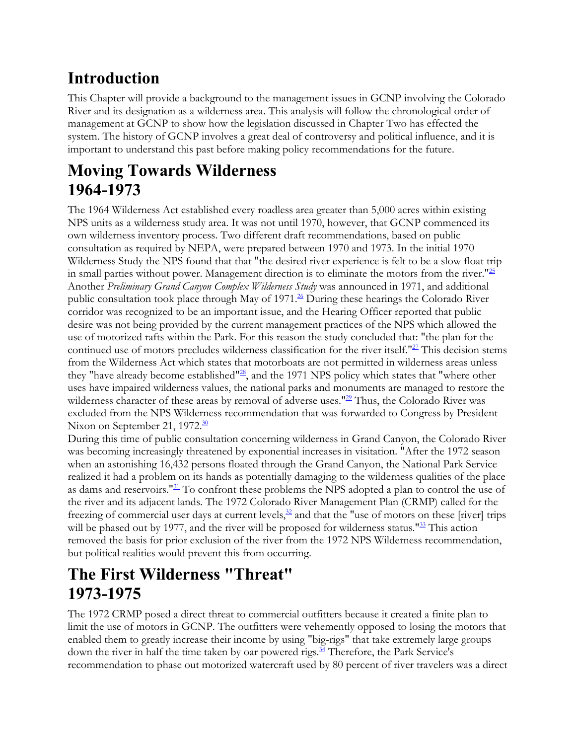# **Introduction**

This Chapter will provide a background to the management issues in GCNP involving the Colorado River and its designation as a wilderness area. This analysis will follow the chronological order of management at GCNP to show how the legislation discussed in Chapter Two has effected the system. The history of GCNP involves a great deal of controversy and political influence, and it is important to understand this past before making policy recommendations for the future.

# **Moving Towards Wilderness 1964-1973**

The 1964 Wilderness Act established every roadless area greater than 5,000 acres within existing NPS units as a wilderness study area. It was not until 1970, however, that GCNP commenced its own wilderness inventory process. Two different draft recommendations, based on public consultation as required by NEPA, were prepared between 1970 and 1973. In the initial 1970 Wilderness Study the NPS found that that "the desired river experience is felt to be a slow float trip in small parties without power. Management direction is to eliminate the motors from the river." $^{25}$ Another *Preliminary Grand Canyon Complex Wilderness Study* was announced in 1971, and additional public consultation took place through May of  $1971$ .<sup>26</sup> During these hearings the Colorado River corridor was recognized to be an important issue, and the Hearing Officer reported that public desire was not being provided by the current management practices of the NPS which allowed the use of motorized rafts within the Park. For this reason the study concluded that: "the plan for the continued use of motors precludes wilderness classification for the river itself."<sup>27</sup> This decision stems from the Wilderness Act which states that motorboats are not permitted in wilderness areas unless they "have already become established" $^{28}$ , and the 1971 NPS policy which states that "where other uses have impaired wilderness values, the national parks and monuments are managed to restore the wilderness character of these areas by removal of adverse uses."<sup>29</sup> Thus, the Colorado River was excluded from the NPS Wilderness recommendation that was forwarded to Congress by President Nixon on September 21, 1972.<sup>30</sup>

During this time of public consultation concerning wilderness in Grand Canyon, the Colorado River was becoming increasingly threatened by exponential increases in visitation. "After the 1972 season when an astonishing 16,432 persons floated through the Grand Canyon, the National Park Service realized it had a problem on its hands as potentially damaging to the wilderness qualities of the place as dams and reservoirs."<sup>31</sup> To confront these problems the NPS adopted a plan to control the use of the river and its adjacent lands. The 1972 Colorado River Management Plan (CRMP) called for the freezing of commercial user days at current levels, $\frac{32}{2}$  and that the "use of motors on these [river] trips will be phased out by 1977, and the river will be proposed for wilderness status."<sup>33</sup> This action removed the basis for prior exclusion of the river from the 1972 NPS Wilderness recommendation, but political realities would prevent this from occurring.

# **The First Wilderness "Threat" 1973-1975**

The 1972 CRMP posed a direct threat to commercial outfitters because it created a finite plan to limit the use of motors in GCNP. The outfitters were vehemently opposed to losing the motors that enabled them to greatly increase their income by using "big-rigs" that take extremely large groups down the river in half the time taken by oar powered rigs. $34$  Therefore, the Park Service's recommendation to phase out motorized watercraft used by 80 percent of river travelers was a direct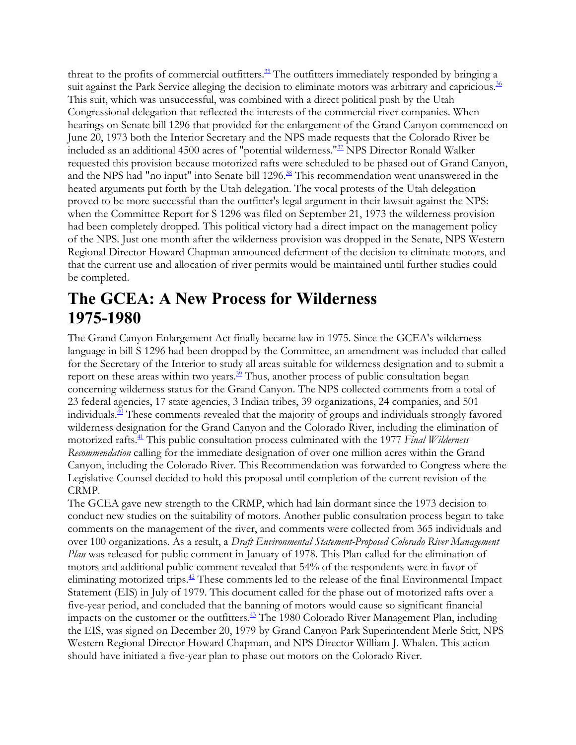threat to the profits of commercial outfitters.<sup>35</sup> The outfitters immediately responded by bringing a suit against the Park Service alleging the decision to eliminate motors was arbitrary and capricious.<sup>36</sup> This suit, which was unsuccessful, was combined with a direct political push by the Utah Congressional delegation that reflected the interests of the commercial river companies. When hearings on Senate bill 1296 that provided for the enlargement of the Grand Canyon commenced on June 20, 1973 both the Interior Secretary and the NPS made requests that the Colorado River be included as an additional 4500 acres of "potential wilderness."37 NPS Director Ronald Walker requested this provision because motorized rafts were scheduled to be phased out of Grand Canyon, and the NPS had "no input" into Senate bill 1296.<sup>38</sup> This recommendation went unanswered in the heated arguments put forth by the Utah delegation. The vocal protests of the Utah delegation proved to be more successful than the outfitter's legal argument in their lawsuit against the NPS: when the Committee Report for S 1296 was filed on September 21, 1973 the wilderness provision had been completely dropped. This political victory had a direct impact on the management policy of the NPS. Just one month after the wilderness provision was dropped in the Senate, NPS Western Regional Director Howard Chapman announced deferment of the decision to eliminate motors, and that the current use and allocation of river permits would be maintained until further studies could be completed.

## **The GCEA: A New Process for Wilderness 1975-1980**

The Grand Canyon Enlargement Act finally became law in 1975. Since the GCEA's wilderness language in bill S 1296 had been dropped by the Committee, an amendment was included that called for the Secretary of the Interior to study all areas suitable for wilderness designation and to submit a report on these areas within two years. $39$  Thus, another process of public consultation began concerning wilderness status for the Grand Canyon. The NPS collected comments from a total of 23 federal agencies, 17 state agencies, 3 Indian tribes, 39 organizations, 24 companies, and 501 individuals.40 These comments revealed that the majority of groups and individuals strongly favored wilderness designation for the Grand Canyon and the Colorado River, including the elimination of motorized rafts.<sup>41</sup> This public consultation process culminated with the 1977 *Final Wilderness Recommendation* calling for the immediate designation of over one million acres within the Grand Canyon, including the Colorado River. This Recommendation was forwarded to Congress where the Legislative Counsel decided to hold this proposal until completion of the current revision of the CRMP.

The GCEA gave new strength to the CRMP, which had lain dormant since the 1973 decision to conduct new studies on the suitability of motors. Another public consultation process began to take comments on the management of the river, and comments were collected from 365 individuals and over 100 organizations. As a result, a *Draft Environmental Statement-Proposed Colorado River Management Plan* was released for public comment in January of 1978. This Plan called for the elimination of motors and additional public comment revealed that 54% of the respondents were in favor of eliminating motorized trips.<sup>42</sup> These comments led to the release of the final Environmental Impact Statement (EIS) in July of 1979. This document called for the phase out of motorized rafts over a five-year period, and concluded that the banning of motors would cause so significant financial impacts on the customer or the outfitters.<sup>43</sup> The 1980 Colorado River Management Plan, including the EIS, was signed on December 20, 1979 by Grand Canyon Park Superintendent Merle Stitt, NPS Western Regional Director Howard Chapman, and NPS Director William J. Whalen. This action should have initiated a five-year plan to phase out motors on the Colorado River.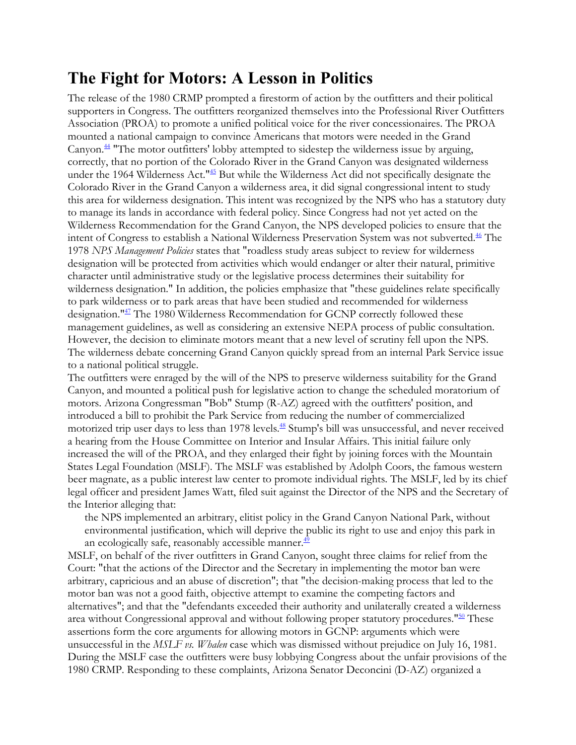### **The Fight for Motors: A Lesson in Politics**

The release of the 1980 CRMP prompted a firestorm of action by the outfitters and their political supporters in Congress. The outfitters reorganized themselves into the Professional River Outfitters Association (PROA) to promote a unified political voice for the river concessionaires. The PROA mounted a national campaign to convince Americans that motors were needed in the Grand Canyon.<sup>44</sup> "The motor outfitters' lobby attempted to sidestep the wilderness issue by arguing, correctly, that no portion of the Colorado River in the Grand Canyon was designated wilderness under the 1964 Wilderness Act.<sup>"45</sup> But while the Wilderness Act did not specifically designate the Colorado River in the Grand Canyon a wilderness area, it did signal congressional intent to study this area for wilderness designation. This intent was recognized by the NPS who has a statutory duty to manage its lands in accordance with federal policy. Since Congress had not yet acted on the Wilderness Recommendation for the Grand Canyon, the NPS developed policies to ensure that the intent of Congress to establish a National Wilderness Preservation System was not subverted.<sup>46</sup> The 1978 *NPS Management Policies* states that "roadless study areas subject to review for wilderness designation will be protected from activities which would endanger or alter their natural, primitive character until administrative study or the legislative process determines their suitability for wilderness designation." In addition, the policies emphasize that "these guidelines relate specifically to park wilderness or to park areas that have been studied and recommended for wilderness designation."<sup>47</sup> The 1980 Wilderness Recommendation for GCNP correctly followed these management guidelines, as well as considering an extensive NEPA process of public consultation. However, the decision to eliminate motors meant that a new level of scrutiny fell upon the NPS. The wilderness debate concerning Grand Canyon quickly spread from an internal Park Service issue to a national political struggle.

The outfitters were enraged by the will of the NPS to preserve wilderness suitability for the Grand Canyon, and mounted a political push for legislative action to change the scheduled moratorium of motors. Arizona Congressman "Bob" Stump (R-AZ) agreed with the outfitters' position, and introduced a bill to prohibit the Park Service from reducing the number of commercialized motorized trip user days to less than 1978 levels.<sup>48</sup> Stump's bill was unsuccessful, and never received a hearing from the House Committee on Interior and Insular Affairs. This initial failure only increased the will of the PROA, and they enlarged their fight by joining forces with the Mountain States Legal Foundation (MSLF). The MSLF was established by Adolph Coors, the famous western beer magnate, as a public interest law center to promote individual rights. The MSLF, led by its chief legal officer and president James Watt, filed suit against the Director of the NPS and the Secretary of the Interior alleging that:

the NPS implemented an arbitrary, elitist policy in the Grand Canyon National Park, without environmental justification, which will deprive the public its right to use and enjoy this park in an ecologically safe, reasonably accessible manner. $\frac{49}{49}$ 

MSLF, on behalf of the river outfitters in Grand Canyon, sought three claims for relief from the Court: "that the actions of the Director and the Secretary in implementing the motor ban were arbitrary, capricious and an abuse of discretion"; that "the decision-making process that led to the motor ban was not a good faith, objective attempt to examine the competing factors and alternatives"; and that the "defendants exceeded their authority and unilaterally created a wilderness area without Congressional approval and without following proper statutory procedures.<sup>"50</sup> These assertions form the core arguments for allowing motors in GCNP: arguments which were unsuccessful in the *MSLF vs. Whalen* case which was dismissed without prejudice on July 16, 1981. During the MSLF case the outfitters were busy lobbying Congress about the unfair provisions of the 1980 CRMP. Responding to these complaints, Arizona Senator Deconcini (D-AZ) organized a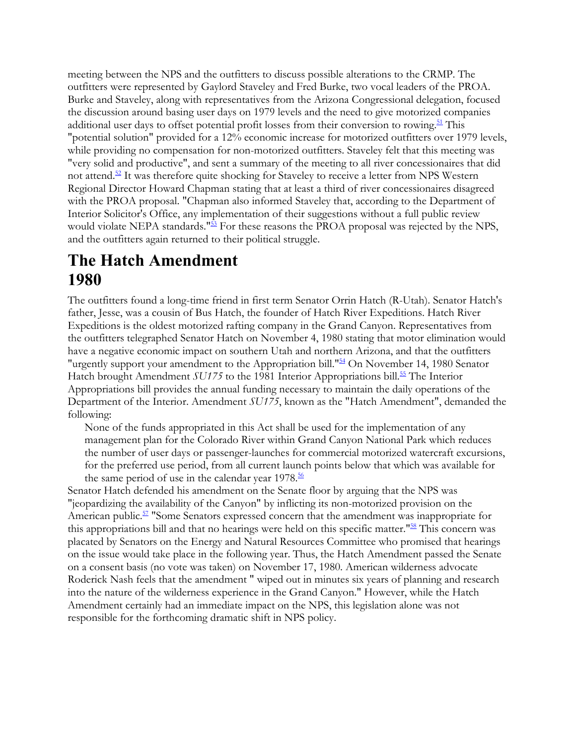meeting between the NPS and the outfitters to discuss possible alterations to the CRMP. The outfitters were represented by Gaylord Staveley and Fred Burke, two vocal leaders of the PROA. Burke and Staveley, along with representatives from the Arizona Congressional delegation, focused the discussion around basing user days on 1979 levels and the need to give motorized companies additional user days to offset potential profit losses from their conversion to rowing.<sup>51</sup> This "potential solution" provided for a 12% economic increase for motorized outfitters over 1979 levels, while providing no compensation for non-motorized outfitters. Staveley felt that this meeting was "very solid and productive", and sent a summary of the meeting to all river concessionaires that did not attend. $52$  It was therefore quite shocking for Staveley to receive a letter from NPS Western Regional Director Howard Chapman stating that at least a third of river concessionaires disagreed with the PROA proposal. "Chapman also informed Staveley that, according to the Department of Interior Solicitor's Office, any implementation of their suggestions without a full public review would violate NEPA standards.<sup>"53</sup> For these reasons the PROA proposal was rejected by the NPS, and the outfitters again returned to their political struggle.

# **The Hatch Amendment 1980**

The outfitters found a long-time friend in first term Senator Orrin Hatch (R-Utah). Senator Hatch's father, Jesse, was a cousin of Bus Hatch, the founder of Hatch River Expeditions. Hatch River Expeditions is the oldest motorized rafting company in the Grand Canyon. Representatives from the outfitters telegraphed Senator Hatch on November 4, 1980 stating that motor elimination would have a negative economic impact on southern Utah and northern Arizona, and that the outfitters "urgently support your amendment to the Appropriation bill."<sup>54</sup> On November 14, 1980 Senator Hatch brought Amendment *SU175* to the 1981 Interior Appropriations bill.<sup>55</sup> The Interior Appropriations bill provides the annual funding necessary to maintain the daily operations of the Department of the Interior. Amendment *SU175*, known as the "Hatch Amendment", demanded the following:

None of the funds appropriated in this Act shall be used for the implementation of any management plan for the Colorado River within Grand Canyon National Park which reduces the number of user days or passenger-launches for commercial motorized watercraft excursions, for the preferred use period, from all current launch points below that which was available for the same period of use in the calendar year  $1978.\overline{56}$ 

Senator Hatch defended his amendment on the Senate floor by arguing that the NPS was "jeopardizing the availability of the Canyon" by inflicting its non-motorized provision on the American public.<sup>57</sup> "Some Senators expressed concern that the amendment was inappropriate for this appropriations bill and that no hearings were held on this specific matter."<sup>58</sup> This concern was placated by Senators on the Energy and Natural Resources Committee who promised that hearings on the issue would take place in the following year. Thus, the Hatch Amendment passed the Senate on a consent basis (no vote was taken) on November 17, 1980. American wilderness advocate Roderick Nash feels that the amendment " wiped out in minutes six years of planning and research into the nature of the wilderness experience in the Grand Canyon." However, while the Hatch Amendment certainly had an immediate impact on the NPS, this legislation alone was not responsible for the forthcoming dramatic shift in NPS policy.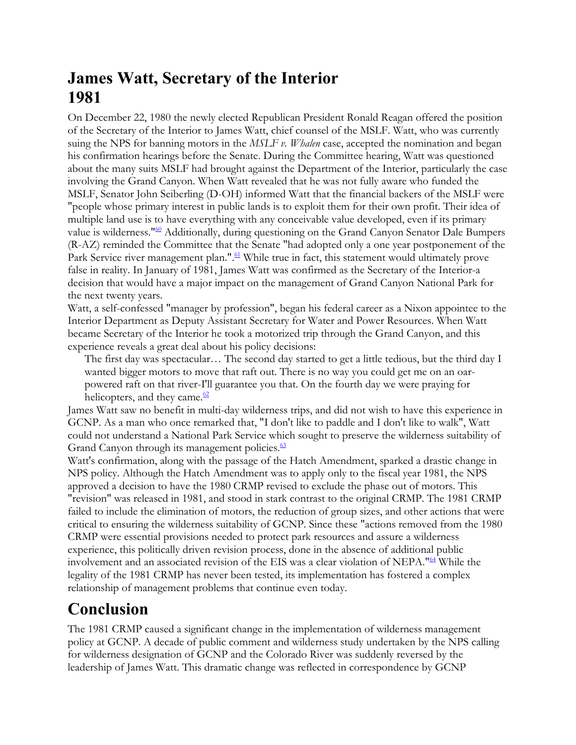# **James Watt, Secretary of the Interior 1981**

On December 22, 1980 the newly elected Republican President Ronald Reagan offered the position of the Secretary of the Interior to James Watt, chief counsel of the MSLF. Watt, who was currently suing the NPS for banning motors in the *MSLF v. Whalen* case, accepted the nomination and began his confirmation hearings before the Senate. During the Committee hearing, Watt was questioned about the many suits MSLF had brought against the Department of the Interior, particularly the case involving the Grand Canyon. When Watt revealed that he was not fully aware who funded the MSLF, Senator John Seiberling (D-OH) informed Watt that the financial backers of the MSLF were "people whose primary interest in public lands is to exploit them for their own profit. Their idea of multiple land use is to have everything with any conceivable value developed, even if its primary value is wilderness."<sup>60</sup> Additionally, during questioning on the Grand Canyon Senator Dale Bumpers (R-AZ) reminded the Committee that the Senate "had adopted only a one year postponement of the Park Service river management plan.".<sup>61</sup> While true in fact, this statement would ultimately prove false in reality. In January of 1981, James Watt was confirmed as the Secretary of the Interior-a decision that would have a major impact on the management of Grand Canyon National Park for the next twenty years.

Watt, a self-confessed "manager by profession", began his federal career as a Nixon appointee to the Interior Department as Deputy Assistant Secretary for Water and Power Resources. When Watt became Secretary of the Interior he took a motorized trip through the Grand Canyon, and this experience reveals a great deal about his policy decisions:

The first day was spectacular… The second day started to get a little tedious, but the third day I wanted bigger motors to move that raft out. There is no way you could get me on an oarpowered raft on that river-I'll guarantee you that. On the fourth day we were praying for helicopters, and they came. $\frac{62}{2}$ 

James Watt saw no benefit in multi-day wilderness trips, and did not wish to have this experience in GCNP. As a man who once remarked that, "I don't like to paddle and I don't like to walk", Watt could not understand a National Park Service which sought to preserve the wilderness suitability of Grand Canyon through its management policies.<sup>63</sup>

Watt's confirmation, along with the passage of the Hatch Amendment, sparked a drastic change in NPS policy. Although the Hatch Amendment was to apply only to the fiscal year 1981, the NPS approved a decision to have the 1980 CRMP revised to exclude the phase out of motors. This "revision" was released in 1981, and stood in stark contrast to the original CRMP. The 1981 CRMP failed to include the elimination of motors, the reduction of group sizes, and other actions that were critical to ensuring the wilderness suitability of GCNP. Since these "actions removed from the 1980 CRMP were essential provisions needed to protect park resources and assure a wilderness experience, this politically driven revision process, done in the absence of additional public involvement and an associated revision of the EIS was a clear violation of NEPA."64 While the legality of the 1981 CRMP has never been tested, its implementation has fostered a complex relationship of management problems that continue even today.

# **Conclusion**

The 1981 CRMP caused a significant change in the implementation of wilderness management policy at GCNP. A decade of public comment and wilderness study undertaken by the NPS calling for wilderness designation of GCNP and the Colorado River was suddenly reversed by the leadership of James Watt. This dramatic change was reflected in correspondence by GCNP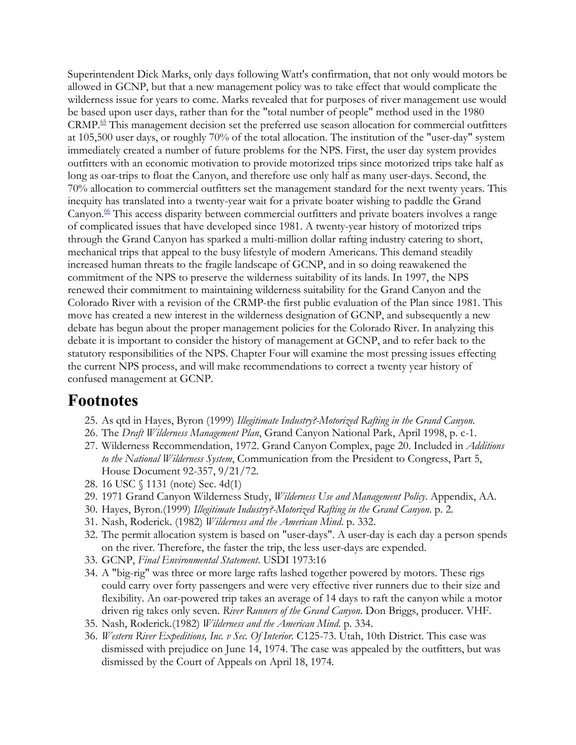Superintendent Dick Marks, only days following Watt's confirmation, that not only would motors be allowed in GCNP, but that a new management policy was to take effect that would complicate the wilderness issue for years to come. Marks revealed that for purposes of river management use would be based upon user days, rather than for the "total number of people" method used in the 1980 CRMP.65 This management decision set the preferred use season allocation for commercial outfitters at 105,500 user days, or roughly 70% of the total allocation. The institution of the "user-day" system immediately created a number of future problems for the NPS. First, the user day system provides outfitters with an economic motivation to provide motorized trips since motorized trips take half as long as oar-trips to float the Canyon, and therefore use only half as many user-days. Second, the 70% allocation to commercial outfitters set the management standard for the next twenty years. This inequity has translated into a twenty-year wait for a private boater wishing to paddle the Grand Canyon. $\frac{66}{5}$  This access disparity between commercial outfitters and private boaters involves a range of complicated issues that have developed since 1981. A twenty-year history of motorized trips through the Grand Canyon has sparked a multi-million dollar rafting industry catering to short, mechanical trips that appeal to the busy lifestyle of modern Americans. This demand steadily increased human threats to the fragile landscape of GCNP, and in so doing reawakened the commitment of the NPS to preserve the wilderness suitability of its lands. In 1997, the NPS renewed their commitment to maintaining wilderness suitability for the Grand Canyon and the Colorado River with a revision of the CRMP-the first public evaluation of the Plan since 1981. This move has created a new interest in the wilderness designation of GCNP, and subsequently a new debate has begun about the proper management policies for the Colorado River. In analyzing this debate it is important to consider the history of management at GCNP, and to refer back to the statutory responsibilities of the NPS. Chapter Four will examine the most pressing issues effecting the current NPS process, and will make recommendations to correct a twenty year history of confused management at GCNP.

#### **Footnotes**

- 25. As qtd in Hayes, Byron (1999) *Illegitimate Industry?-Motorized Rafting in the Grand Canyon.*
- 26. The *Draft Wilderness Management Plan*, Grand Canyon National Park, April 1998, p. c-1.
- 27. Wilderness Recommendation, 1972. Grand Canyon Complex, page 20. Included in *Additions to the National Wilderness System*, Communication from the President to Congress, Part 5, House Document 92-357, 9/21/72.
- 28. 16 USC § 1131 (note) Sec. 4d(1)
- 29. 1971 Grand Canyon Wilderness Study, *Wilderness Use and Management Policy*. Appendix, AA.
- 30. Hayes, Byron.(1999) *Illegitimate Industry?-Motorized Rafting in the Grand Canyon*. p. 2.
- 31. Nash, Roderick. (1982) *Wilderness and the American Mind*. p. 332.
- 32. The permit allocation system is based on "user-days". A user-day is each day a person spends on the river. Therefore, the faster the trip, the less user-days are expended.
- 33. GCNP, *Final Environmental Statement*. USDI 1973:16
- 34. A "big-rig" was three or more large rafts lashed together powered by motors. These rigs could carry over forty passengers and were very effective river runners due to their size and flexibility. An oar-powered trip takes an average of 14 days to raft the canyon while a motor driven rig takes only seven. *River Runners of the Grand Canyon*. Don Briggs, producer. VHF.
- 35. Nash, Roderick.(1982) *Wilderness and the American Mind*. p. 334.
- 36. *Western River Expeditions, Inc. v Sec. Of Interior*. C125-73. Utah, 10th District. This case was dismissed with prejudice on June 14, 1974. The case was appealed by the outfitters, but was dismissed by the Court of Appeals on April 18, 1974.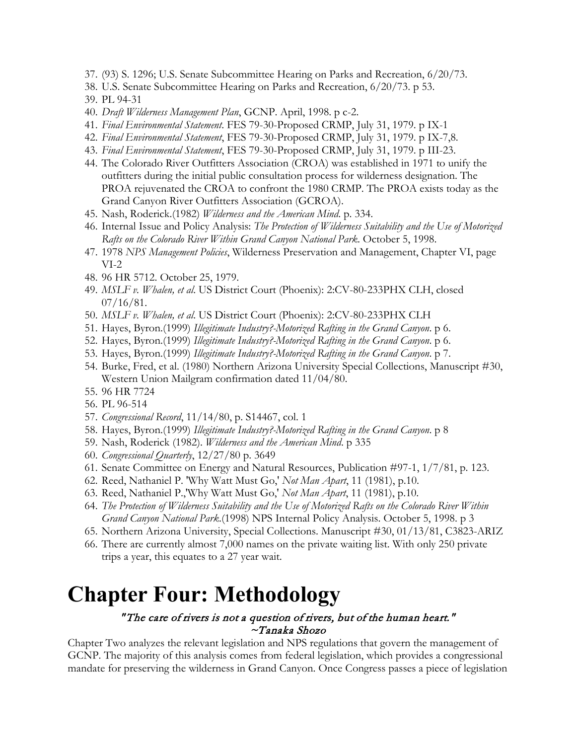- 37. (93) S. 1296; U.S. Senate Subcommittee Hearing on Parks and Recreation, 6/20/73.
- 38. U.S. Senate Subcommittee Hearing on Parks and Recreation, 6/20/73. p 53.
- 39. PL 94-31
- 40. *Draft Wilderness Management Plan*, GCNP. April, 1998. p c-2.
- 41. *Final Environmental Statement*. FES 79-30-Proposed CRMP, July 31, 1979. p IX-1
- 42. *Final Environmental Statement*, FES 79-30-Proposed CRMP, July 31, 1979. p IX-7,8.
- 43. *Final Environmental Statement*, FES 79-30-Proposed CRMP, July 31, 1979. p III-23.
- 44. The Colorado River Outfitters Association (CROA) was established in 1971 to unify the outfitters during the initial public consultation process for wilderness designation. The PROA rejuvenated the CROA to confront the 1980 CRMP. The PROA exists today as the Grand Canyon River Outfitters Association (GCROA).
- 45. Nash, Roderick.(1982) *Wilderness and the American Mind*. p. 334.
- 46. Internal Issue and Policy Analysis: *The Protection of Wilderness Suitability and the Use of Motorized Rafts on the Colorado River Within Grand Canyon National Park*. October 5, 1998.
- 47. 1978 *NPS Management Policies*, Wilderness Preservation and Management, Chapter VI, page VI-2
- 48. 96 HR 5712. October 25, 1979.
- 49. *MSLF v. Whalen, et al*. US District Court (Phoenix): 2:CV-80-233PHX CLH, closed  $07/16/81$ .
- 50. *MSLF v. Whalen, et al*. US District Court (Phoenix): 2:CV-80-233PHX CLH
- 51. Hayes, Byron.(1999) *Illegitimate Industry?-Motorized Rafting in the Grand Canyon*. p 6.
- 52. Hayes, Byron.(1999) *Illegitimate Industry?-Motorized Rafting in the Grand Canyon*. p 6.
- 53. Hayes, Byron.(1999) *Illegitimate Industry?-Motorized Rafting in the Grand Canyon*. p 7.
- 54. Burke, Fred, et al. (1980) Northern Arizona University Special Collections, Manuscript #30, Western Union Mailgram confirmation dated 11/04/80.
- 55. 96 HR 7724
- 56. PL 96-514
- 57. *Congressional Record*, 11/14/80, p. S14467, col. 1
- 58. Hayes, Byron.(1999) *Illegitimate Industry?-Motorized Rafting in the Grand Canyon*. p 8
- 59. Nash, Roderick (1982). *Wilderness and the American Mind*. p 335
- 60. *Congressional Quarterly*, 12/27/80 p. 3649
- 61. Senate Committee on Energy and Natural Resources, Publication #97-1, 1/7/81, p. 123.
- 62. Reed, Nathaniel P. 'Why Watt Must Go,' *Not Man Apart*, 11 (1981), p.10.
- 63. Reed, Nathaniel P.,'Why Watt Must Go,' *Not Man Apart*, 11 (1981), p.10.
- 64. *The Protection of Wilderness Suitability and the Use of Motorized Rafts on the Colorado River Within Grand Canyon National Park*.(1998) NPS Internal Policy Analysis. October 5, 1998. p 3
- 65. Northern Arizona University, Special Collections. Manuscript #30, 01/13/81, C3823-ARIZ
- 66. There are currently almost 7,000 names on the private waiting list. With only 250 private trips a year, this equates to a 27 year wait.

# **Chapter Four: Methodology**

#### " The care of rivers is not a question of rivers, but of the human heart." ~Tanaka Shozo

Chapter Two analyzes the relevant legislation and NPS regulations that govern the management of GCNP. The majority of this analysis comes from federal legislation, which provides a congressional mandate for preserving the wilderness in Grand Canyon. Once Congress passes a piece of legislation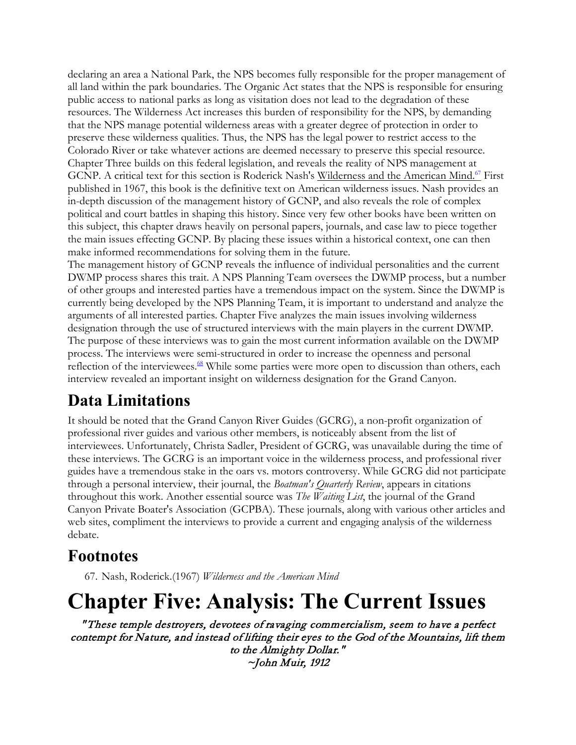declaring an area a National Park, the NPS becomes fully responsible for the proper management of all land within the park boundaries. The Organic Act states that the NPS is responsible for ensuring public access to national parks as long as visitation does not lead to the degradation of these resources. The Wilderness Act increases this burden of responsibility for the NPS, by demanding that the NPS manage potential wilderness areas with a greater degree of protection in order to preserve these wilderness qualities. Thus, the NPS has the legal power to restrict access to the Colorado River or take whatever actions are deemed necessary to preserve this special resource. Chapter Three builds on this federal legislation, and reveals the reality of NPS management at GCNP. A critical text for this section is Roderick Nash's Wilderness and the American Mind.<sup>67</sup> First published in 1967, this book is the definitive text on American wilderness issues. Nash provides an in-depth discussion of the management history of GCNP, and also reveals the role of complex political and court battles in shaping this history. Since very few other books have been written on this subject, this chapter draws heavily on personal papers, journals, and case law to piece together the main issues effecting GCNP. By placing these issues within a historical context, one can then make informed recommendations for solving them in the future.

The management history of GCNP reveals the influence of individual personalities and the current DWMP process shares this trait. A NPS Planning Team oversees the DWMP process, but a number of other groups and interested parties have a tremendous impact on the system. Since the DWMP is currently being developed by the NPS Planning Team, it is important to understand and analyze the arguments of all interested parties. Chapter Five analyzes the main issues involving wilderness designation through the use of structured interviews with the main players in the current DWMP. The purpose of these interviews was to gain the most current information available on the DWMP process. The interviews were semi-structured in order to increase the openness and personal reflection of the interviewees. $68$  While some parties were more open to discussion than others, each interview revealed an important insight on wilderness designation for the Grand Canyon.

# **Data Limitations**

It should be noted that the Grand Canyon River Guides (GCRG), a non-profit organization of professional river guides and various other members, is noticeably absent from the list of interviewees. Unfortunately, Christa Sadler, President of GCRG, was unavailable during the time of these interviews. The GCRG is an important voice in the wilderness process, and professional river guides have a tremendous stake in the oars vs. motors controversy. While GCRG did not participate through a personal interview, their journal, the *Boatman's Quarterly Review*, appears in citations throughout this work. Another essential source was *The Waiting List*, the journal of the Grand Canyon Private Boater's Association (GCPBA). These journals, along with various other articles and web sites, compliment the interviews to provide a current and engaging analysis of the wilderness debate.

## **Footnotes**

67. Nash, Roderick.(1967) *Wilderness and the American Mind*

# **Chapter Five: Analysis: The Current Issues**

" These temple destroyers, devotees of ravaging commercialism, seem to have a perfect contempt for Nature, and instead of lifting their eyes to the God of the Mountains, lift them to the Almighty Dollar." ~John Muir, 1912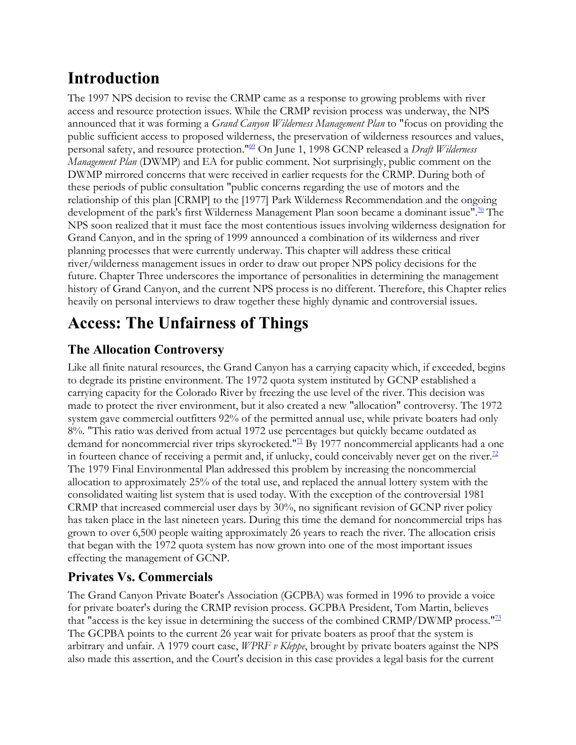# **Introduction**

The 1997 NPS decision to revise the CRMP came as a response to growing problems with river access and resource protection issues. While the CRMP revision process was underway, the NPS announced that it was forming a *Grand Canyon Wilderness Management Plan* to "focus on providing the public sufficient access to proposed wilderness, the preservation of wilderness resources and values, personal safety, and resource protection."69 On June 1, 1998 GCNP released a *Draft Wilderness Management Plan* (DWMP) and EA for public comment. Not surprisingly, public comment on the DWMP mirrored concerns that were received in earlier requests for the CRMP. During both of these periods of public consultation "public concerns regarding the use of motors and the relationship of this plan [CRMP] to the [1977] Park Wilderness Recommendation and the ongoing development of the park's first Wilderness Management Plan soon became a dominant issue".<sup>70</sup> The NPS soon realized that it must face the most contentious issues involving wilderness designation for Grand Canyon, and in the spring of 1999 announced a combination of its wilderness and river planning processes that were currently underway. This chapter will address these critical river/wilderness management issues in order to draw out proper NPS policy decisions for the future. Chapter Three underscores the importance of personalities in determining the management history of Grand Canyon, and the current NPS process is no different. Therefore, this Chapter relies heavily on personal interviews to draw together these highly dynamic and controversial issues.

# **Access: The Unfairness of Things**

#### **The Allocation Controversy**

Like all finite natural resources, the Grand Canyon has a carrying capacity which, if exceeded, begins to degrade its pristine environment. The 1972 quota system instituted by GCNP established a carrying capacity for the Colorado River by freezing the use level of the river. This decision was made to protect the river environment, but it also created a new "allocation" controversy. The 1972 system gave commercial outfitters 92% of the permitted annual use, while private boaters had only 8%. "This ratio was derived from actual 1972 use percentages but quickly became outdated as demand for noncommercial river trips skyrocketed."<sup>71</sup> By 1977 noncommercial applicants had a one in fourteen chance of receiving a permit and, if unlucky, could conceivably never get on the river.<sup>72</sup> The 1979 Final Environmental Plan addressed this problem by increasing the noncommercial allocation to approximately 25% of the total use, and replaced the annual lottery system with the consolidated waiting list system that is used today. With the exception of the controversial 1981 CRMP that increased commercial user days by 30%, no significant revision of GCNP river policy has taken place in the last nineteen years. During this time the demand for noncommercial trips has grown to over 6,500 people waiting approximately 26 years to reach the river. The allocation crisis that began with the 1972 quota system has now grown into one of the most important issues effecting the management of GCNP.

#### **Privates Vs. Commercials**

The Grand Canyon Private Boater's Association (GCPBA) was formed in 1996 to provide a voice for private boater's during the CRMP revision process. GCPBA President, Tom Martin, believes that "access is the key issue in determining the success of the combined CRMP/DWMP process."<sup>73</sup> The GCPBA points to the current 26 year wait for private boaters as proof that the system is arbitrary and unfair. A 1979 court case, *WPRF v Kleppe*, brought by private boaters against the NPS also made this assertion, and the Court's decision in this case provides a legal basis for the current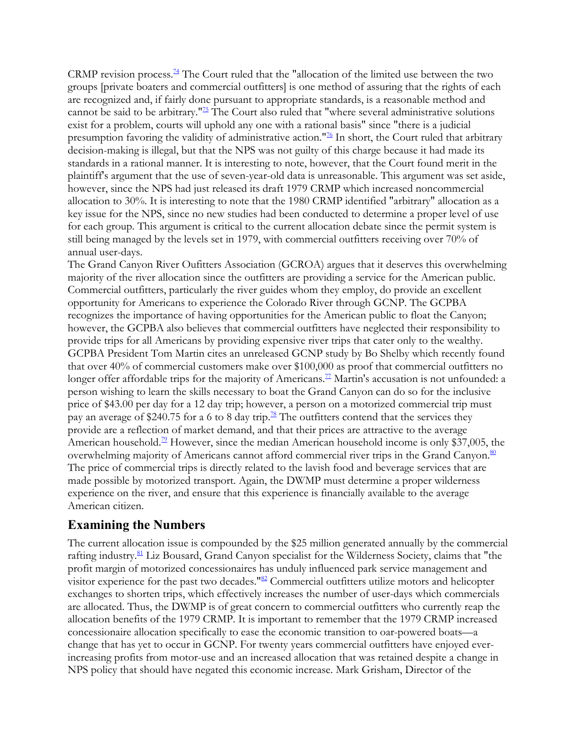CRMP revision process.<sup> $74$ </sup> The Court ruled that the "allocation of the limited use between the two groups [private boaters and commercial outfitters] is one method of assuring that the rights of each are recognized and, if fairly done pursuant to appropriate standards, is a reasonable method and cannot be said to be arbitrary.<sup> $175$ </sup> The Court also ruled that "where several administrative solutions" exist for a problem, courts will uphold any one with a rational basis" since "there is a judicial presumption favoring the validity of administrative action."<sup>76</sup> In short, the Court ruled that arbitrary decision-making is illegal, but that the NPS was not guilty of this charge because it had made its standards in a rational manner. It is interesting to note, however, that the Court found merit in the plaintiff's argument that the use of seven-year-old data is unreasonable. This argument was set aside, however, since the NPS had just released its draft 1979 CRMP which increased noncommercial allocation to 30%. It is interesting to note that the 1980 CRMP identified "arbitrary" allocation as a key issue for the NPS, since no new studies had been conducted to determine a proper level of use for each group. This argument is critical to the current allocation debate since the permit system is still being managed by the levels set in 1979, with commercial outfitters receiving over 70% of annual user-days.

The Grand Canyon River Oufitters Association (GCROA) argues that it deserves this overwhelming majority of the river allocation since the outfitters are providing a service for the American public. Commercial outfitters, particularly the river guides whom they employ, do provide an excellent opportunity for Americans to experience the Colorado River through GCNP. The GCPBA recognizes the importance of having opportunities for the American public to float the Canyon; however, the GCPBA also believes that commercial outfitters have neglected their responsibility to provide trips for all Americans by providing expensive river trips that cater only to the wealthy. GCPBA President Tom Martin cites an unreleased GCNP study by Bo Shelby which recently found that over 40% of commercial customers make over \$100,000 as proof that commercial outfitters no longer offer affordable trips for the majority of Americans.<sup>77</sup> Martin's accusation is not unfounded: a person wishing to learn the skills necessary to boat the Grand Canyon can do so for the inclusive price of \$43.00 per day for a 12 day trip; however, a person on a motorized commercial trip must pay an average of \$240.75 for a 6 to 8 day trip.<sup>78</sup> The outfitters contend that the services they provide are a reflection of market demand, and that their prices are attractive to the average American household.<sup>79</sup> However, since the median American household income is only \$37,005, the overwhelming majority of Americans cannot afford commercial river trips in the Grand Canyon.<sup>80</sup> The price of commercial trips is directly related to the lavish food and beverage services that are made possible by motorized transport. Again, the DWMP must determine a proper wilderness experience on the river, and ensure that this experience is financially available to the average American citizen.

#### **Examining the Numbers**

The current allocation issue is compounded by the \$25 million generated annually by the commercial rafting industry.<sup>81</sup> Liz Bousard, Grand Canyon specialist for the Wilderness Society, claims that "the profit margin of motorized concessionaires has unduly influenced park service management and visitor experience for the past two decades."<sup>82</sup> Commercial outfitters utilize motors and helicopter exchanges to shorten trips, which effectively increases the number of user-days which commercials are allocated. Thus, the DWMP is of great concern to commercial outfitters who currently reap the allocation benefits of the 1979 CRMP. It is important to remember that the 1979 CRMP increased concessionaire allocation specifically to ease the economic transition to oar-powered boats—a change that has yet to occur in GCNP. For twenty years commercial outfitters have enjoyed everincreasing profits from motor-use and an increased allocation that was retained despite a change in NPS policy that should have negated this economic increase. Mark Grisham, Director of the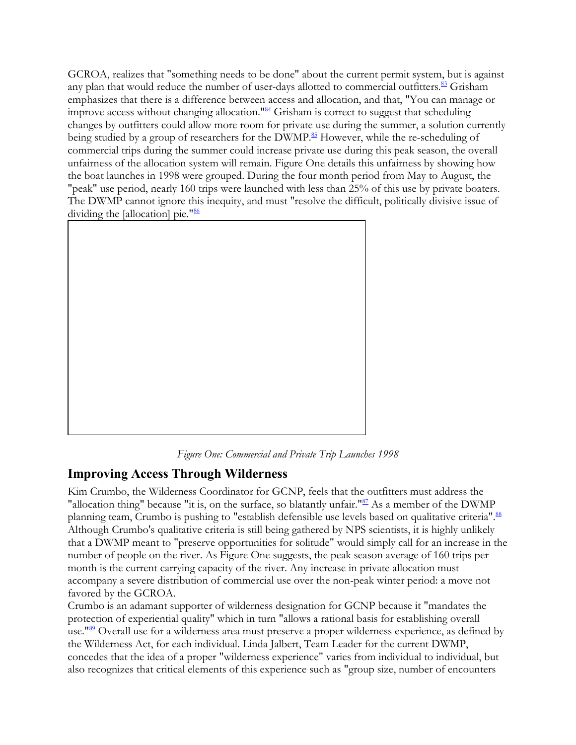GCROA, realizes that "something needs to be done" about the current permit system, but is against any plan that would reduce the number of user-days allotted to commercial outfitters.<sup>83</sup> Grisham emphasizes that there is a difference between access and allocation, and that, "You can manage or improve access without changing allocation."<sup>84</sup> Grisham is correct to suggest that scheduling changes by outfitters could allow more room for private use during the summer, a solution currently being studied by a group of researchers for the DWMP.<sup>85</sup> However, while the re-scheduling of commercial trips during the summer could increase private use during this peak season, the overall unfairness of the allocation system will remain. Figure One details this unfairness by showing how the boat launches in 1998 were grouped. During the four month period from May to August, the "peak" use period, nearly 160 trips were launched with less than 25% of this use by private boaters. The DWMP cannot ignore this inequity, and must "resolve the difficult, politically divisive issue of dividing the [allocation] pie."<sup>86</sup>



*Figure One: Commercial and Private Trip Launches 1998*

#### **Improving Access Through Wilderness**

Kim Crumbo, the Wilderness Coordinator for GCNP, feels that the outfitters must address the "allocation thing" because "it is, on the surface, so blatantly unfair."<sup>87</sup> As a member of the DWMP planning team, Crumbo is pushing to "establish defensible use levels based on qualitative criteria".<sup>88</sup> Although Crumbo's qualitative criteria is still being gathered by NPS scientists, it is highly unlikely that a DWMP meant to "preserve opportunities for solitude" would simply call for an increase in the number of people on the river. As Figure One suggests, the peak season average of 160 trips per month is the current carrying capacity of the river. Any increase in private allocation must accompany a severe distribution of commercial use over the non-peak winter period: a move not favored by the GCROA.

Crumbo is an adamant supporter of wilderness designation for GCNP because it "mandates the protection of experiential quality" which in turn "allows a rational basis for establishing overall use."<sup>89</sup> Overall use for a wilderness area must preserve a proper wilderness experience, as defined by the Wilderness Act, for each individual. Linda Jalbert, Team Leader for the current DWMP, concedes that the idea of a proper "wilderness experience" varies from individual to individual, but also recognizes that critical elements of this experience such as "group size, number of encounters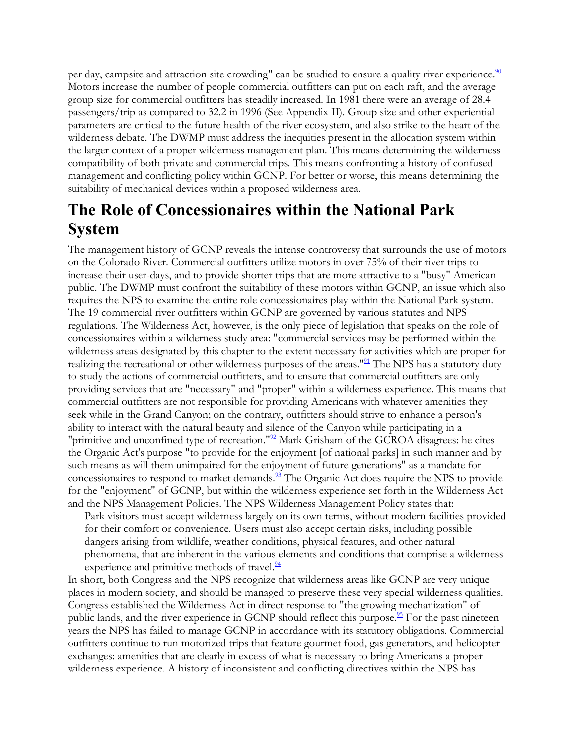per day, campsite and attraction site crowding" can be studied to ensure a quality river experience.<sup>90</sup> Motors increase the number of people commercial outfitters can put on each raft, and the average group size for commercial outfitters has steadily increased. In 1981 there were an average of 28.4 passengers/trip as compared to 32.2 in 1996 (See Appendix II). Group size and other experiential parameters are critical to the future health of the river ecosystem, and also strike to the heart of the wilderness debate. The DWMP must address the inequities present in the allocation system within the larger context of a proper wilderness management plan. This means determining the wilderness compatibility of both private and commercial trips. This means confronting a history of confused management and conflicting policy within GCNP. For better or worse, this means determining the suitability of mechanical devices within a proposed wilderness area.

## **The Role of Concessionaires within the National Park System**

The management history of GCNP reveals the intense controversy that surrounds the use of motors on the Colorado River. Commercial outfitters utilize motors in over 75% of their river trips to increase their user-days, and to provide shorter trips that are more attractive to a "busy" American public. The DWMP must confront the suitability of these motors within GCNP, an issue which also requires the NPS to examine the entire role concessionaires play within the National Park system. The 19 commercial river outfitters within GCNP are governed by various statutes and NPS regulations. The Wilderness Act, however, is the only piece of legislation that speaks on the role of concessionaires within a wilderness study area: "commercial services may be performed within the wilderness areas designated by this chapter to the extent necessary for activities which are proper for realizing the recreational or other wilderness purposes of the areas."<sup>91</sup> The NPS has a statutory duty to study the actions of commercial outfitters, and to ensure that commercial outfitters are only providing services that are "necessary" and "proper" within a wilderness experience. This means that commercial outfitters are not responsible for providing Americans with whatever amenities they seek while in the Grand Canyon; on the contrary, outfitters should strive to enhance a person's ability to interact with the natural beauty and silence of the Canyon while participating in a "primitive and unconfined type of recreation." $\frac{92}{2}$  Mark Grisham of the GCROA disagrees: he cites the Organic Act's purpose "to provide for the enjoyment [of national parks] in such manner and by such means as will them unimpaired for the enjoyment of future generations" as a mandate for concessionaires to respond to market demands.<sup>93</sup> The Organic Act does require the NPS to provide for the "enjoyment" of GCNP, but within the wilderness experience set forth in the Wilderness Act and the NPS Management Policies. The NPS Wilderness Management Policy states that:

Park visitors must accept wilderness largely on its own terms, without modern facilities provided for their comfort or convenience. Users must also accept certain risks, including possible dangers arising from wildlife, weather conditions, physical features, and other natural phenomena, that are inherent in the various elements and conditions that comprise a wilderness experience and primitive methods of travel. $\frac{94}{94}$ 

In short, both Congress and the NPS recognize that wilderness areas like GCNP are very unique places in modern society, and should be managed to preserve these very special wilderness qualities. Congress established the Wilderness Act in direct response to "the growing mechanization" of public lands, and the river experience in GCNP should reflect this purpose.<sup>95</sup> For the past nineteen years the NPS has failed to manage GCNP in accordance with its statutory obligations. Commercial outfitters continue to run motorized trips that feature gourmet food, gas generators, and helicopter exchanges: amenities that are clearly in excess of what is necessary to bring Americans a proper wilderness experience. A history of inconsistent and conflicting directives within the NPS has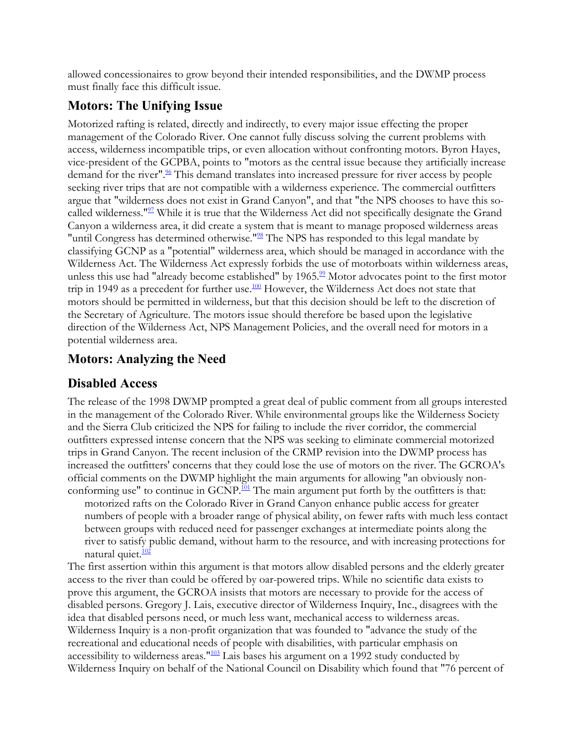allowed concessionaires to grow beyond their intended responsibilities, and the DWMP process must finally face this difficult issue.

#### **Motors: The Unifying Issue**

Motorized rafting is related, directly and indirectly, to every major issue effecting the proper management of the Colorado River. One cannot fully discuss solving the current problems with access, wilderness incompatible trips, or even allocation without confronting motors. Byron Hayes, vice-president of the GCPBA, points to "motors as the central issue because they artificially increase demand for the river".<sup>96</sup> This demand translates into increased pressure for river access by people seeking river trips that are not compatible with a wilderness experience. The commercial outfitters argue that "wilderness does not exist in Grand Canyon", and that "the NPS chooses to have this socalled wilderness."<sup>97</sup> While it is true that the Wilderness Act did not specifically designate the Grand Canyon a wilderness area, it did create a system that is meant to manage proposed wilderness areas "until Congress has determined otherwise."<sup>98</sup> The NPS has responded to this legal mandate by classifying GCNP as a "potential" wilderness area, which should be managed in accordance with the Wilderness Act. The Wilderness Act expressly forbids the use of motorboats within wilderness areas, unless this use had "already become established" by 1965. $\frac{99}{2}$  Motor advocates point to the first motor trip in 1949 as a precedent for further use. $\frac{100}{2}$  However, the Wilderness Act does not state that motors should be permitted in wilderness, but that this decision should be left to the discretion of the Secretary of Agriculture. The motors issue should therefore be based upon the legislative direction of the Wilderness Act, NPS Management Policies, and the overall need for motors in a potential wilderness area.

#### **Motors: Analyzing the Need**

#### **Disabled Access**

The release of the 1998 DWMP prompted a great deal of public comment from all groups interested in the management of the Colorado River. While environmental groups like the Wilderness Society and the Sierra Club criticized the NPS for failing to include the river corridor, the commercial outfitters expressed intense concern that the NPS was seeking to eliminate commercial motorized trips in Grand Canyon. The recent inclusion of the CRMP revision into the DWMP process has increased the outfitters' concerns that they could lose the use of motors on the river. The GCROA's official comments on the DWMP highlight the main arguments for allowing "an obviously nonconforming use" to continue in  $GCNP$ .<sup>101</sup> The main argument put forth by the outfitters is that:

motorized rafts on the Colorado River in Grand Canyon enhance public access for greater numbers of people with a broader range of physical ability, on fewer rafts with much less contact between groups with reduced need for passenger exchanges at intermediate points along the river to satisfy public demand, without harm to the resource, and with increasing protections for natural quiet.<sup>102</sup>

The first assertion within this argument is that motors allow disabled persons and the elderly greater access to the river than could be offered by oar-powered trips. While no scientific data exists to prove this argument, the GCROA insists that motors are necessary to provide for the access of disabled persons. Gregory J. Lais, executive director of Wilderness Inquiry, Inc., disagrees with the idea that disabled persons need, or much less want, mechanical access to wilderness areas. Wilderness Inquiry is a non-profit organization that was founded to "advance the study of the recreational and educational needs of people with disabilities, with particular emphasis on accessibility to wilderness areas."<sup>103</sup> Lais bases his argument on a 1992 study conducted by Wilderness Inquiry on behalf of the National Council on Disability which found that "76 percent of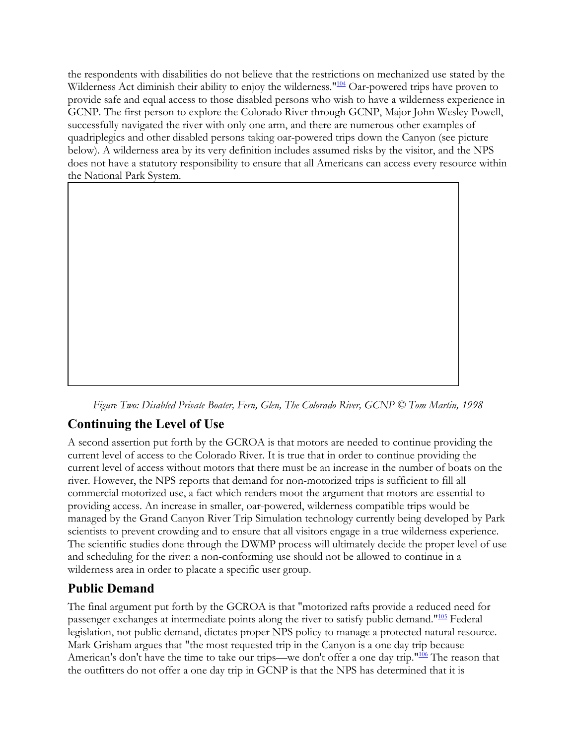the respondents with disabilities do not believe that the restrictions on mechanized use stated by the Wilderness Act diminish their ability to enjoy the wilderness."<sup>104</sup> Oar-powered trips have proven to provide safe and equal access to those disabled persons who wish to have a wilderness experience in GCNP. The first person to explore the Colorado River through GCNP, Major John Wesley Powell, successfully navigated the river with only one arm, and there are numerous other examples of quadriplegics and other disabled persons taking oar-powered trips down the Canyon (see picture below). A wilderness area by its very definition includes assumed risks by the visitor, and the NPS does not have a statutory responsibility to ensure that all Americans can access every resource within the National Park System.



*Figure Two: Disabled Private Boater, Fern, Glen, The Colorado River, GCNP © Tom Martin, 1998*

#### **Continuing the Level of Use**

A second assertion put forth by the GCROA is that motors are needed to continue providing the current level of access to the Colorado River. It is true that in order to continue providing the current level of access without motors that there must be an increase in the number of boats on the river. However, the NPS reports that demand for non-motorized trips is sufficient to fill all commercial motorized use, a fact which renders moot the argument that motors are essential to providing access. An increase in smaller, oar-powered, wilderness compatible trips would be managed by the Grand Canyon River Trip Simulation technology currently being developed by Park scientists to prevent crowding and to ensure that all visitors engage in a true wilderness experience. The scientific studies done through the DWMP process will ultimately decide the proper level of use and scheduling for the river: a non-conforming use should not be allowed to continue in a wilderness area in order to placate a specific user group.

#### **Public Demand**

The final argument put forth by the GCROA is that "motorized rafts provide a reduced need for passenger exchanges at intermediate points along the river to satisfy public demand."<sup>105</sup> Federal legislation, not public demand, dictates proper NPS policy to manage a protected natural resource. Mark Grisham argues that "the most requested trip in the Canyon is a one day trip because American's don't have the time to take our trips—we don't offer a one day trip."<sup>106</sup> The reason that the outfitters do not offer a one day trip in GCNP is that the NPS has determined that it is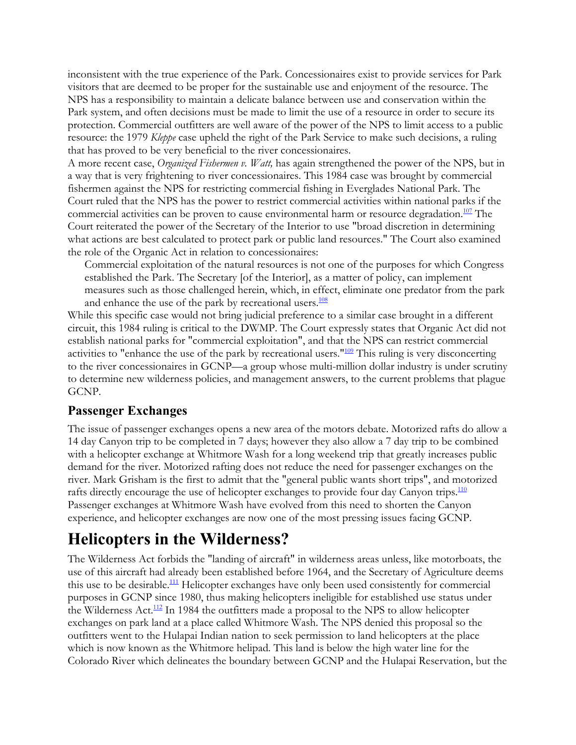inconsistent with the true experience of the Park. Concessionaires exist to provide services for Park visitors that are deemed to be proper for the sustainable use and enjoyment of the resource. The NPS has a responsibility to maintain a delicate balance between use and conservation within the Park system, and often decisions must be made to limit the use of a resource in order to secure its protection. Commercial outfitters are well aware of the power of the NPS to limit access to a public resource: the 1979 *Kleppe* case upheld the right of the Park Service to make such decisions, a ruling that has proved to be very beneficial to the river concessionaires.

A more recent case, *Organized Fishermen v. Watt,* has again strengthened the power of the NPS, but in a way that is very frightening to river concessionaires. This 1984 case was brought by commercial fishermen against the NPS for restricting commercial fishing in Everglades National Park. The Court ruled that the NPS has the power to restrict commercial activities within national parks if the commercial activities can be proven to cause environmental harm or resource degradation.<sup>107</sup> The Court reiterated the power of the Secretary of the Interior to use "broad discretion in determining what actions are best calculated to protect park or public land resources." The Court also examined the role of the Organic Act in relation to concessionaires:

Commercial exploitation of the natural resources is not one of the purposes for which Congress established the Park. The Secretary [of the Interior], as a matter of policy, can implement measures such as those challenged herein, which, in effect, eliminate one predator from the park and enhance the use of the park by recreational users.<sup>108</sup>

While this specific case would not bring judicial preference to a similar case brought in a different circuit, this 1984 ruling is critical to the DWMP. The Court expressly states that Organic Act did not establish national parks for "commercial exploitation", and that the NPS can restrict commercial activities to "enhance the use of the park by recreational users."<sup>109</sup> This ruling is very disconcerting to the river concessionaires in GCNP—a group whose multi-million dollar industry is under scrutiny to determine new wilderness policies, and management answers, to the current problems that plague GCNP.

#### **Passenger Exchanges**

The issue of passenger exchanges opens a new area of the motors debate. Motorized rafts do allow a 14 day Canyon trip to be completed in 7 days; however they also allow a 7 day trip to be combined with a helicopter exchange at Whitmore Wash for a long weekend trip that greatly increases public demand for the river. Motorized rafting does not reduce the need for passenger exchanges on the river. Mark Grisham is the first to admit that the "general public wants short trips", and motorized rafts directly encourage the use of helicopter exchanges to provide four day Canyon trips.<sup>110</sup> Passenger exchanges at Whitmore Wash have evolved from this need to shorten the Canyon experience, and helicopter exchanges are now one of the most pressing issues facing GCNP.

### **Helicopters in the Wilderness?**

The Wilderness Act forbids the "landing of aircraft" in wilderness areas unless, like motorboats, the use of this aircraft had already been established before 1964, and the Secretary of Agriculture deems this use to be desirable.<sup>111</sup> Helicopter exchanges have only been used consistently for commercial purposes in GCNP since 1980, thus making helicopters ineligible for established use status under the Wilderness Act.<sup>112</sup> In 1984 the outfitters made a proposal to the NPS to allow helicopter exchanges on park land at a place called Whitmore Wash. The NPS denied this proposal so the outfitters went to the Hulapai Indian nation to seek permission to land helicopters at the place which is now known as the Whitmore helipad. This land is below the high water line for the Colorado River which delineates the boundary between GCNP and the Hulapai Reservation, but the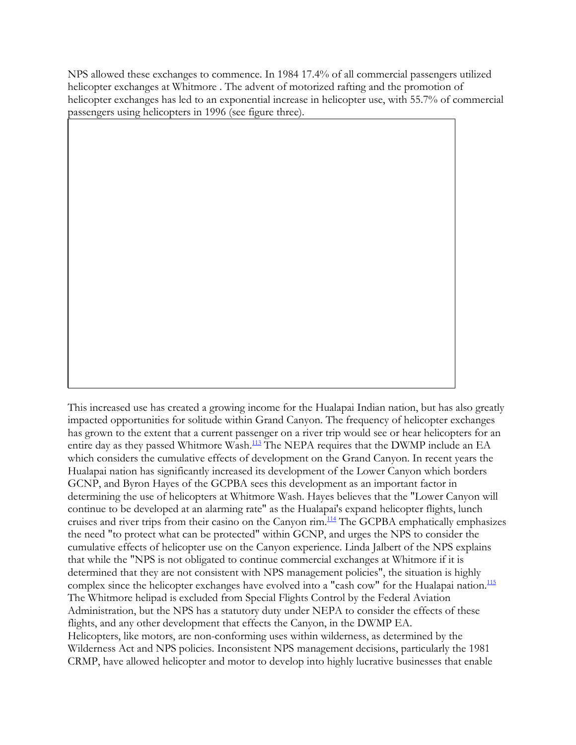NPS allowed these exchanges to commence. In 1984 17.4% of all commercial passengers utilized helicopter exchanges at Whitmore . The advent of motorized rafting and the promotion of helicopter exchanges has led to an exponential increase in helicopter use, with 55.7% of commercial passengers using helicopters in 1996 (see figure three).

This increased use has created a growing income for the Hualapai Indian nation, but has also greatly impacted opportunities for solitude within Grand Canyon. The frequency of helicopter exchanges has grown to the extent that a current passenger on a river trip would see or hear helicopters for an entire day as they passed Whitmore Wash.<sup>113</sup> The NEPA requires that the DWMP include an EA which considers the cumulative effects of development on the Grand Canyon. In recent years the Hualapai nation has significantly increased its development of the Lower Canyon which borders GCNP, and Byron Hayes of the GCPBA sees this development as an important factor in determining the use of helicopters at Whitmore Wash. Hayes believes that the "Lower Canyon will continue to be developed at an alarming rate" as the Hualapai's expand helicopter flights, lunch cruises and river trips from their casino on the Canyon rim.<sup>114</sup> The GCPBA emphatically emphasizes the need "to protect what can be protected" within GCNP, and urges the NPS to consider the cumulative effects of helicopter use on the Canyon experience. Linda Jalbert of the NPS explains that while the "NPS is not obligated to continue commercial exchanges at Whitmore if it is determined that they are not consistent with NPS management policies", the situation is highly complex since the helicopter exchanges have evolved into a "cash cow" for the Hualapai nation. $\frac{115}{2}$ The Whitmore helipad is excluded from Special Flights Control by the Federal Aviation Administration, but the NPS has a statutory duty under NEPA to consider the effects of these flights, and any other development that effects the Canyon, in the DWMP EA. Helicopters, like motors, are non-conforming uses within wilderness, as determined by the Wilderness Act and NPS policies. Inconsistent NPS management decisions, particularly the 1981 CRMP, have allowed helicopter and motor to develop into highly lucrative businesses that enable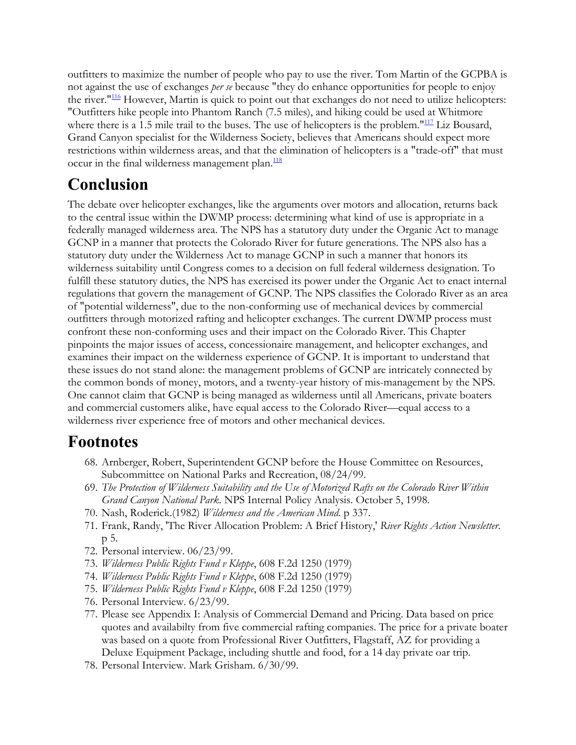outfitters to maximize the number of people who pay to use the river. Tom Martin of the GCPBA is not against the use of exchanges *per se* because "they do enhance opportunities for people to enjoy the river."<sup>116</sup> However, Martin is quick to point out that exchanges do not need to utilize helicopters: "Outfitters hike people into Phantom Ranch (7.5 miles), and hiking could be used at Whitmore where there is a 1.5 mile trail to the buses. The use of helicopters is the problem."<sup>117</sup> Liz Bousard, Grand Canyon specialist for the Wilderness Society, believes that Americans should expect more restrictions within wilderness areas, and that the elimination of helicopters is a "trade-off" that must occur in the final wilderness management plan.<sup>118</sup>

## **Conclusion**

The debate over helicopter exchanges, like the arguments over motors and allocation, returns back to the central issue within the DWMP process: determining what kind of use is appropriate in a federally managed wilderness area. The NPS has a statutory duty under the Organic Act to manage GCNP in a manner that protects the Colorado River for future generations. The NPS also has a statutory duty under the Wilderness Act to manage GCNP in such a manner that honors its wilderness suitability until Congress comes to a decision on full federal wilderness designation. To fulfill these statutory duties, the NPS has exercised its power under the Organic Act to enact internal regulations that govern the management of GCNP. The NPS classifies the Colorado River as an area of "potential wilderness", due to the non-conforming use of mechanical devices by commercial outfitters through motorized rafting and helicopter exchanges. The current DWMP process must confront these non-conforming uses and their impact on the Colorado River. This Chapter pinpoints the major issues of access, concessionaire management, and helicopter exchanges, and examines their impact on the wilderness experience of GCNP. It is important to understand that these issues do not stand alone: the management problems of GCNP are intricately connected by the common bonds of money, motors, and a twenty-year history of mis-management by the NPS. One cannot claim that GCNP is being managed as wilderness until all Americans, private boaters and commercial customers alike, have equal access to the Colorado River—equal access to a wilderness river experience free of motors and other mechanical devices.

### **Footnotes**

- 68. Arnberger, Robert, Superintendent GCNP before the House Committee on Resources, Subcommittee on National Parks and Recreation, 08/24/99.
- 69. *The Protection of Wilderness Suitability and the Use of Motorized Rafts on the Colorado River Within Grand Canyon National Park*. NPS Internal Policy Analysis. October 5, 1998.
- 70. Nash, Roderick.(1982) *Wilderness and the American Mind*. p 337.
- 71. Frank, Randy, 'The River Allocation Problem: A Brief History,' *River Rights Action Newsletter*. p 5.
- 72. Personal interview. 06/23/99.
- 73. *Wilderness Public Rights Fund v Kleppe*, 608 F.2d 1250 (1979)
- 74. *Wilderness Public Rights Fund v Kleppe*, 608 F.2d 1250 (1979)
- 75. *Wilderness Public Rights Fund v Kleppe*, 608 F.2d 1250 (1979)
- 76. Personal Interview. 6/23/99.
- 77. Please see Appendix I: Analysis of Commercial Demand and Pricing. Data based on price quotes and availabilty from five commercial rafting companies. The price for a private boater was based on a quote from Professional River Outfitters, Flagstaff, AZ for providing a Deluxe Equipment Package, including shuttle and food, for a 14 day private oar trip.
- 78. Personal Interview. Mark Grisham. 6/30/99.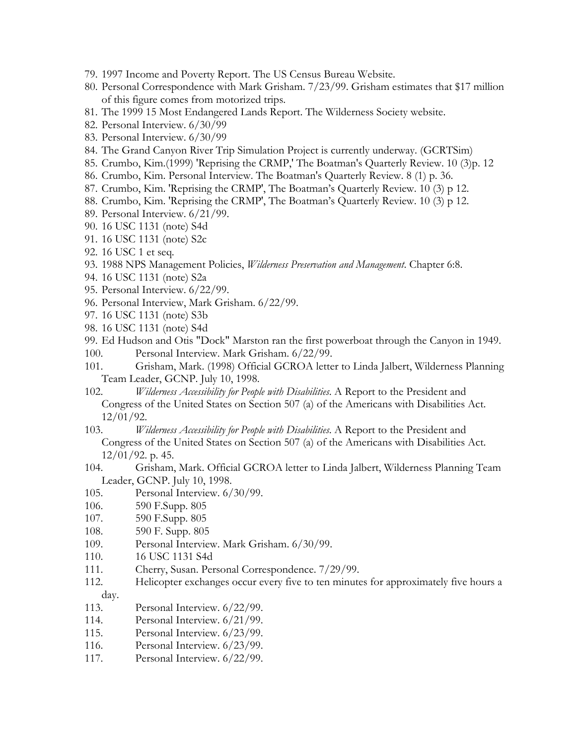- 79. 1997 Income and Poverty Report. The US Census Bureau Website.
- 80. Personal Correspondence with Mark Grisham. 7/23/99. Grisham estimates that \$17 million of this figure comes from motorized trips.
- 81. The 1999 15 Most Endangered Lands Report. The Wilderness Society website.
- 82. Personal Interview. 6/30/99
- 83. Personal Interview. 6/30/99
- 84. The Grand Canyon River Trip Simulation Project is currently underway. (GCRTSim)
- 85. Crumbo, Kim.(1999) 'Reprising the CRMP,' The Boatman's Quarterly Review. 10 (3)p. 12
- 86. Crumbo, Kim. Personal Interview. The Boatman's Quarterly Review. 8 (1) p. 36.
- 87. Crumbo, Kim. 'Reprising the CRMP', The Boatman's Quarterly Review. 10 (3) p 12.
- 88. Crumbo, Kim. 'Reprising the CRMP', The Boatman's Quarterly Review. 10 (3) p 12.
- 89. Personal Interview. 6/21/99.
- 90. 16 USC 1131 (note) S4d
- 91. 16 USC 1131 (note) S2c
- 92. 16 USC 1 et seq.
- 93. 1988 NPS Management Policies, *Wilderness Preservation and Management*. Chapter 6:8.
- 94. 16 USC 1131 (note) S2a
- 95. Personal Interview. 6/22/99.
- 96. Personal Interview, Mark Grisham. 6/22/99.
- 97. 16 USC 1131 (note) S3b
- 98. 16 USC 1131 (note) S4d
- 99. Ed Hudson and Otis "Dock" Marston ran the first powerboat through the Canyon in 1949. 100. Personal Interview. Mark Grisham. 6/22/99.
- 101. Grisham, Mark. (1998) Official GCROA letter to Linda Jalbert, Wilderness Planning Team Leader, GCNP. July 10, 1998.
- 102. *Wilderness Accessibility for People with Disabilities*. A Report to the President and Congress of the United States on Section 507 (a) of the Americans with Disabilities Act. 12/01/92.
- 103. *Wilderness Accessibility for People with Disabilities*. A Report to the President and Congress of the United States on Section 507 (a) of the Americans with Disabilities Act. 12/01/92. p. 45.
- 104. Grisham, Mark. Official GCROA letter to Linda Jalbert, Wilderness Planning Team Leader, GCNP. July 10, 1998.
- 105. Personal Interview. 6/30/99.
- 106. 590 F.Supp. 805
- 107. 590 F.Supp. 805
- 108. 590 F. Supp. 805
- 109. Personal Interview. Mark Grisham. 6/30/99.
- 110. 16 USC 1131 S4d
- 111. Cherry, Susan. Personal Correspondence. 7/29/99.
- 112. Helicopter exchanges occur every five to ten minutes for approximately five hours a day.
- 113. Personal Interview. 6/22/99.
- 114. Personal Interview. 6/21/99.
- 115. Personal Interview. 6/23/99.
- 116. Personal Interview. 6/23/99.
- 117. Personal Interview. 6/22/99.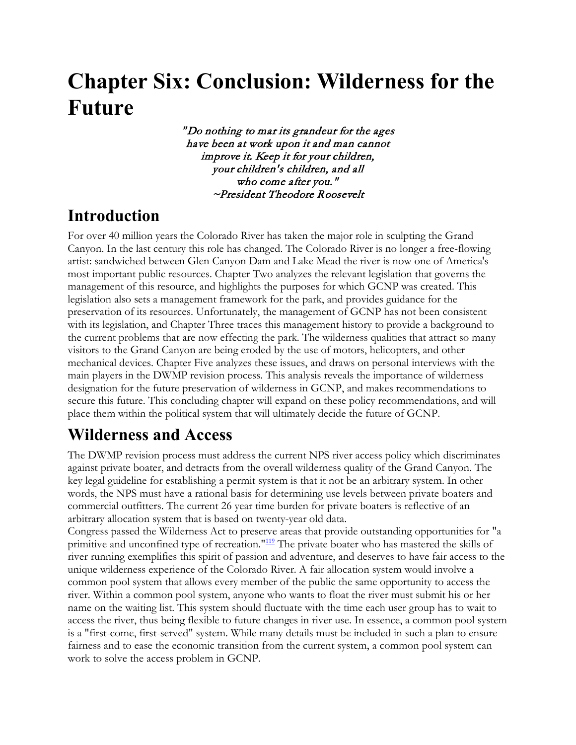# **Chapter Six: Conclusion: Wilderness for the Future**

" Do nothing to mar its grandeur for the ages have been at work upon it and man cannot improve it. Keep it for your children, your children's children, and all who come after you." ~President Theodore Roosevelt

# **Introduction**

For over 40 million years the Colorado River has taken the major role in sculpting the Grand Canyon. In the last century this role has changed. The Colorado River is no longer a free-flowing artist: sandwiched between Glen Canyon Dam and Lake Mead the river is now one of America's most important public resources. Chapter Two analyzes the relevant legislation that governs the management of this resource, and highlights the purposes for which GCNP was created. This legislation also sets a management framework for the park, and provides guidance for the preservation of its resources. Unfortunately, the management of GCNP has not been consistent with its legislation, and Chapter Three traces this management history to provide a background to the current problems that are now effecting the park. The wilderness qualities that attract so many visitors to the Grand Canyon are being eroded by the use of motors, helicopters, and other mechanical devices. Chapter Five analyzes these issues, and draws on personal interviews with the main players in the DWMP revision process. This analysis reveals the importance of wilderness designation for the future preservation of wilderness in GCNP, and makes recommendations to secure this future. This concluding chapter will expand on these policy recommendations, and will place them within the political system that will ultimately decide the future of GCNP.

# **Wilderness and Access**

The DWMP revision process must address the current NPS river access policy which discriminates against private boater, and detracts from the overall wilderness quality of the Grand Canyon. The key legal guideline for establishing a permit system is that it not be an arbitrary system. In other words, the NPS must have a rational basis for determining use levels between private boaters and commercial outfitters. The current 26 year time burden for private boaters is reflective of an arbitrary allocation system that is based on twenty-year old data.

Congress passed the Wilderness Act to preserve areas that provide outstanding opportunities for "a primitive and unconfined type of recreation."<sup>119</sup> The private boater who has mastered the skills of river running exemplifies this spirit of passion and adventure, and deserves to have fair access to the unique wilderness experience of the Colorado River. A fair allocation system would involve a common pool system that allows every member of the public the same opportunity to access the river. Within a common pool system, anyone who wants to float the river must submit his or her name on the waiting list. This system should fluctuate with the time each user group has to wait to access the river, thus being flexible to future changes in river use. In essence, a common pool system is a "first-come, first-served" system. While many details must be included in such a plan to ensure fairness and to ease the economic transition from the current system, a common pool system can work to solve the access problem in GCNP.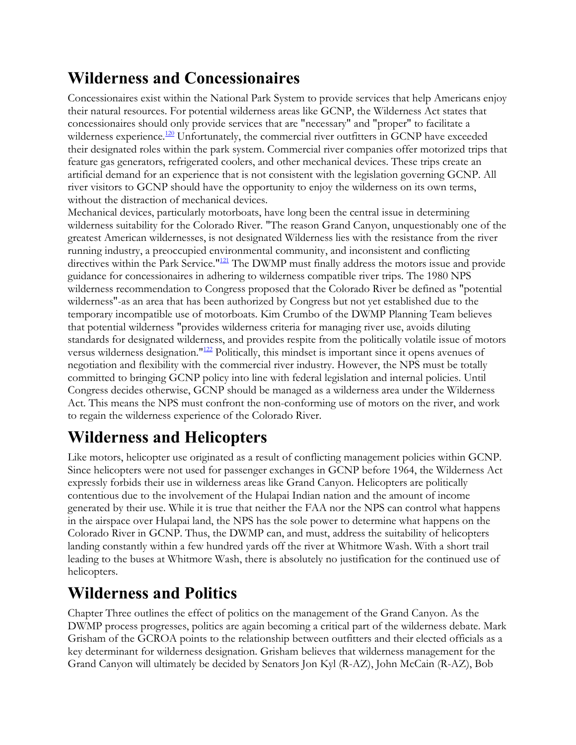# **Wilderness and Concessionaires**

Concessionaires exist within the National Park System to provide services that help Americans enjoy their natural resources. For potential wilderness areas like GCNP, the Wilderness Act states that concessionaires should only provide services that are "necessary" and "proper" to facilitate a wilderness experience.<sup>120</sup> Unfortunately, the commercial river outfitters in GCNP have exceeded their designated roles within the park system. Commercial river companies offer motorized trips that feature gas generators, refrigerated coolers, and other mechanical devices. These trips create an artificial demand for an experience that is not consistent with the legislation governing GCNP. All river visitors to GCNP should have the opportunity to enjoy the wilderness on its own terms, without the distraction of mechanical devices.

Mechanical devices, particularly motorboats, have long been the central issue in determining wilderness suitability for the Colorado River. "The reason Grand Canyon, unquestionably one of the greatest American wildernesses, is not designated Wilderness lies with the resistance from the river running industry, a preoccupied environmental community, and inconsistent and conflicting directives within the Park Service."<sup>121</sup> The DWMP must finally address the motors issue and provide guidance for concessionaires in adhering to wilderness compatible river trips. The 1980 NPS wilderness recommendation to Congress proposed that the Colorado River be defined as "potential wilderness"-as an area that has been authorized by Congress but not yet established due to the temporary incompatible use of motorboats. Kim Crumbo of the DWMP Planning Team believes that potential wilderness "provides wilderness criteria for managing river use, avoids diluting standards for designated wilderness, and provides respite from the politically volatile issue of motors versus wilderness designation."122 Politically, this mindset is important since it opens avenues of negotiation and flexibility with the commercial river industry. However, the NPS must be totally committed to bringing GCNP policy into line with federal legislation and internal policies. Until Congress decides otherwise, GCNP should be managed as a wilderness area under the Wilderness Act. This means the NPS must confront the non-conforming use of motors on the river, and work to regain the wilderness experience of the Colorado River.

# **Wilderness and Helicopters**

Like motors, helicopter use originated as a result of conflicting management policies within GCNP. Since helicopters were not used for passenger exchanges in GCNP before 1964, the Wilderness Act expressly forbids their use in wilderness areas like Grand Canyon. Helicopters are politically contentious due to the involvement of the Hulapai Indian nation and the amount of income generated by their use. While it is true that neither the FAA nor the NPS can control what happens in the airspace over Hulapai land, the NPS has the sole power to determine what happens on the Colorado River in GCNP. Thus, the DWMP can, and must, address the suitability of helicopters landing constantly within a few hundred yards off the river at Whitmore Wash. With a short trail leading to the buses at Whitmore Wash, there is absolutely no justification for the continued use of helicopters.

# **Wilderness and Politics**

Chapter Three outlines the effect of politics on the management of the Grand Canyon. As the DWMP process progresses, politics are again becoming a critical part of the wilderness debate. Mark Grisham of the GCROA points to the relationship between outfitters and their elected officials as a key determinant for wilderness designation. Grisham believes that wilderness management for the Grand Canyon will ultimately be decided by Senators Jon Kyl (R-AZ), John McCain (R-AZ), Bob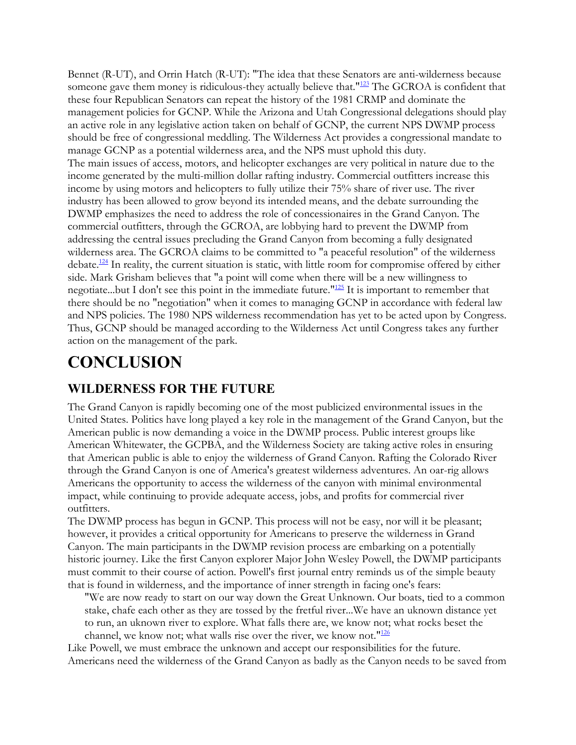Bennet (R-UT), and Orrin Hatch (R-UT): "The idea that these Senators are anti-wilderness because someone gave them money is ridiculous-they actually believe that."<sup>123</sup> The GCROA is confident that these four Republican Senators can repeat the history of the 1981 CRMP and dominate the management policies for GCNP. While the Arizona and Utah Congressional delegations should play an active role in any legislative action taken on behalf of GCNP, the current NPS DWMP process should be free of congressional meddling. The Wilderness Act provides a congressional mandate to manage GCNP as a potential wilderness area, and the NPS must uphold this duty. The main issues of access, motors, and helicopter exchanges are very political in nature due to the income generated by the multi-million dollar rafting industry. Commercial outfitters increase this income by using motors and helicopters to fully utilize their 75% share of river use. The river industry has been allowed to grow beyond its intended means, and the debate surrounding the DWMP emphasizes the need to address the role of concessionaires in the Grand Canyon. The commercial outfitters, through the GCROA, are lobbying hard to prevent the DWMP from addressing the central issues precluding the Grand Canyon from becoming a fully designated wilderness area. The GCROA claims to be committed to "a peaceful resolution" of the wilderness debate.<sup>124</sup> In reality, the current situation is static, with little room for compromise offered by either side. Mark Grisham believes that "a point will come when there will be a new willingness to negotiate...but I don't see this point in the immediate future."125 It is important to remember that there should be no "negotiation" when it comes to managing GCNP in accordance with federal law and NPS policies. The 1980 NPS wilderness recommendation has yet to be acted upon by Congress. Thus, GCNP should be managed according to the Wilderness Act until Congress takes any further action on the management of the park.

# **CONCLUSION**

#### **WILDERNESS FOR THE FUTURE**

The Grand Canyon is rapidly becoming one of the most publicized environmental issues in the United States. Politics have long played a key role in the management of the Grand Canyon, but the American public is now demanding a voice in the DWMP process. Public interest groups like American Whitewater, the GCPBA, and the Wilderness Society are taking active roles in ensuring that American public is able to enjoy the wilderness of Grand Canyon. Rafting the Colorado River through the Grand Canyon is one of America's greatest wilderness adventures. An oar-rig allows Americans the opportunity to access the wilderness of the canyon with minimal environmental impact, while continuing to provide adequate access, jobs, and profits for commercial river outfitters.

The DWMP process has begun in GCNP. This process will not be easy, nor will it be pleasant; however, it provides a critical opportunity for Americans to preserve the wilderness in Grand Canyon. The main participants in the DWMP revision process are embarking on a potentially historic journey. Like the first Canyon explorer Major John Wesley Powell, the DWMP participants must commit to their course of action. Powell's first journal entry reminds us of the simple beauty that is found in wilderness, and the importance of inner strength in facing one's fears:

"We are now ready to start on our way down the Great Unknown. Our boats, tied to a common stake, chafe each other as they are tossed by the fretful river...We have an uknown distance yet to run, an uknown river to explore. What falls there are, we know not; what rocks beset the channel, we know not; what walls rise over the river, we know not."<sup>126</sup>

Like Powell, we must embrace the unknown and accept our responsibilities for the future. Americans need the wilderness of the Grand Canyon as badly as the Canyon needs to be saved from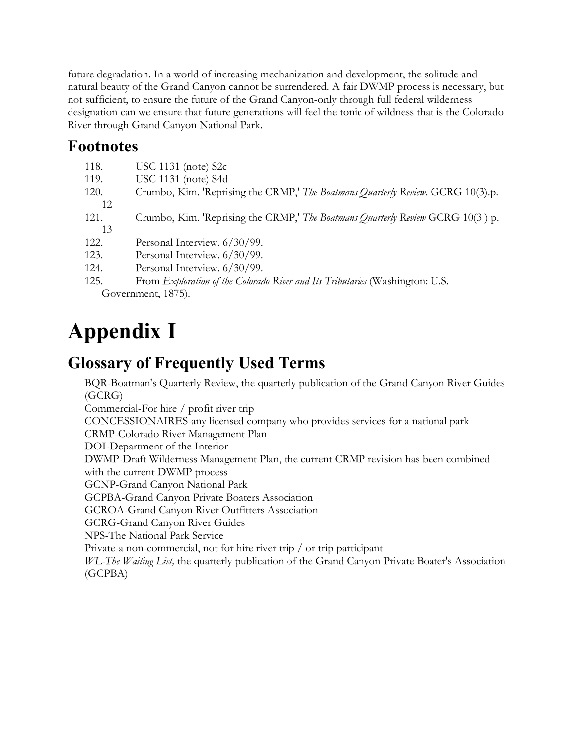future degradation. In a world of increasing mechanization and development, the solitude and natural beauty of the Grand Canyon cannot be surrendered. A fair DWMP process is necessary, but not sufficient, to ensure the future of the Grand Canyon-only through full federal wilderness designation can we ensure that future generations will feel the tonic of wildness that is the Colorado River through Grand Canyon National Park.

# **Footnotes**

- 118. USC 1131 (note) S2c
- 119. USC 1131 (note) S4d
- 120. Crumbo, Kim. 'Reprising the CRMP,' *The Boatmans Quarterly Review*. GCRG 10(3).p. 12

121. Crumbo, Kim. 'Reprising the CRMP,' *The Boatmans Quarterly Review* GCRG 10(3 ) p.

- 13
- 122. Personal Interview. 6/30/99.
- 123. Personal Interview. 6/30/99.
- 124. Personal Interview. 6/30/99.
- 125. From *Exploration of the Colorado River and Its Tributaries* (Washington: U.S. Government, 1875).

# **Appendix I**

# **Glossary of Frequently Used Terms**

BQR-Boatman's Quarterly Review, the quarterly publication of the Grand Canyon River Guides (GCRG)

Commercial-For hire / profit river trip

CONCESSIONAIRES-any licensed company who provides services for a national park

CRMP-Colorado River Management Plan

DOI-Department of the Interior

DWMP-Draft Wilderness Management Plan, the current CRMP revision has been combined with the current DWMP process

GCNP-Grand Canyon National Park

GCPBA-Grand Canyon Private Boaters Association

GCROA-Grand Canyon River Outfitters Association

GCRG-Grand Canyon River Guides

NPS-The National Park Service

Private-a non-commercial, not for hire river trip / or trip participant

*WL-The Waiting List,* the quarterly publication of the Grand Canyon Private Boater's Association (GCPBA)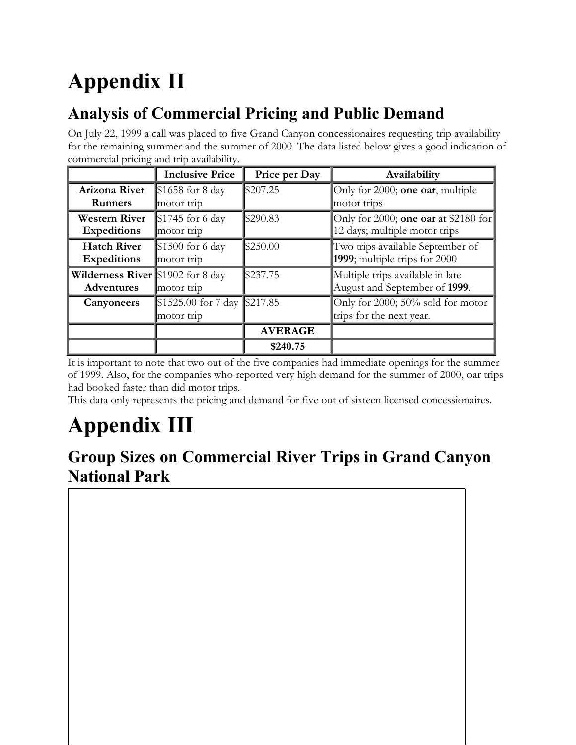# **Appendix II**

# **Analysis of Commercial Pricing and Public Demand**

On July 22, 1999 a call was placed to five Grand Canyon concessionaires requesting trip availability for the remaining summer and the summer of 2000. The data listed below gives a good indication of commercial pricing and trip availability.

|                                   | <b>Inclusive Price</b> | Price per Day  | Availability                         |
|-----------------------------------|------------------------|----------------|--------------------------------------|
| Arizona River                     | \$1658 for 8 day       | \$207.25       | Only for 2000; one oar, multiple     |
| <b>Runners</b>                    | motor trip             |                | motor trips                          |
| <b>Western River</b>              | $$1745$ for 6 day      | \$290.83       | Only for 2000; one oar at \$2180 for |
| <b>Expeditions</b>                | motor trip             |                | 12 days; multiple motor trips        |
| <b>Hatch River</b>                | $$1500$ for 6 day      | \$250.00       | Two trips available September of     |
| <b>Expeditions</b>                | motor trip             |                | 1999; multiple trips for 2000        |
| Wilderness River \$1902 for 8 day |                        | \$237.75       | Multiple trips available in late     |
| <b>Adventures</b>                 | motor trip             |                | August and September of 1999.        |
| Canyoneers                        | $$1525.00$ for 7 day   | \$217.85       | Only for 2000; 50% sold for motor    |
|                                   | motor trip             |                | trips for the next year.             |
|                                   |                        | <b>AVERAGE</b> |                                      |
|                                   |                        | \$240.75       |                                      |

It is important to note that two out of the five companies had immediate openings for the summer of 1999. Also, for the companies who reported very high demand for the summer of 2000, oar trips had booked faster than did motor trips.

This data only represents the pricing and demand for five out of sixteen licensed concessionaires.

# **Appendix III**

**Group Sizes on Commercial River Trips in Grand Canyon National Park**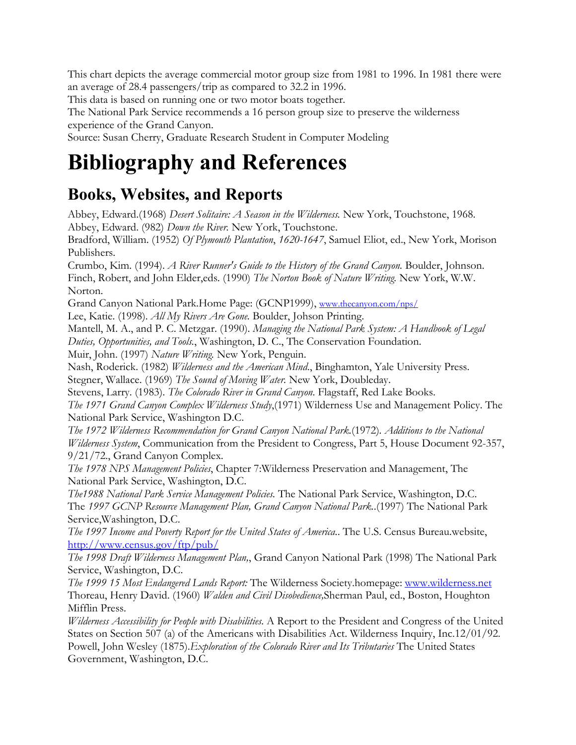This chart depicts the average commercial motor group size from 1981 to 1996. In 1981 there were an average of 28.4 passengers/trip as compared to 32.2 in 1996.

This data is based on running one or two motor boats together.

The National Park Service recommends a 16 person group size to preserve the wilderness experience of the Grand Canyon.

Source: Susan Cherry, Graduate Research Student in Computer Modeling

# **Bibliography and References**

## **Books, Websites, and Reports**

Abbey, Edward.(1968) *Desert Solitaire: A Season in the Wilderness.* New York, Touchstone, 1968. Abbey, Edward. (982) *Down the River.* New York, Touchstone.

Bradford, William. (1952) *Of Plymouth Plantation*, *1620-1647*, Samuel Eliot, ed., New York, Morison Publishers.

Crumbo, Kim. (1994). *A River Runner's Guide to the History of the Grand Canyon.* Boulder, Johnson. Finch, Robert, and John Elder,eds. (1990) *The Norton Book of Nature Writing.* New York, W.W. Norton.

Grand Canyon National Park.Home Page: (GCNP1999), [www.thecanyon.com/nps/](http://www.thecanyon.com/nps/)

Lee, Katie. (1998). *All My Rivers Are Gone.* Boulder, Johson Printing.

Mantell, M. A., and P. C. Metzgar. (1990). *Managing the National Park System: A Handbook of Legal Duties, Opportunities, and Tools.*, Washington, D. C., The Conservation Foundation.

Muir, John. (1997) *Nature Writing.* New York, Penguin.

Nash, Roderick. (1982) *Wilderness and the American Mind*., Binghamton, Yale University Press. Stegner, Wallace. (1969) *The Sound of Moving Water.* New York, Doubleday.

Stevens, Larry. (1983). *The Colorado River in Grand Canyon.* Flagstaff, Red Lake Books.

*The 1971 Grand Canyon Complex Wilderness Study*,(1971) Wilderness Use and Management Policy. The National Park Service, Washington D.C.

*The 1972 Wilderness Recommendation for Grand Canyon National Park.*(1972)*. Additions to the National Wilderness System*, Communication from the President to Congress, Part 5, House Document 92-357, 9/21/72., Grand Canyon Complex.

*The 1978 NPS Management Policies*, Chapter 7:Wilderness Preservation and Management, The National Park Service, Washington, D.C.

*The1988 National Park Service Management Policies.* The National Park Service, Washington, D.C. The *1997 GCNP Resource Management Plan, Grand Canyon National Park.*.(1997) The National Park Service,Washington, D.C.

*The 1997 Income and Poverty Report for the United States of America.*. The U.S. Census Bureau.website, <http://www.census.gov/ftp/pub/>

*The 1998 Draft Wilderness Management Plan,*, Grand Canyon National Park (1998) The National Park Service, Washington, D.C.

*The 1999 15 Most Endangered Lands Report:* The Wilderness Society.homepage: [www.wilderness.net](http://www.wilderness.net/) Thoreau, Henry David. (1960) *Walden and Civil Disobedience,*Sherman Paul, ed., Boston, Houghton Mifflin Press.

*Wilderness Accessibility for People with Disabilities.* A Report to the President and Congress of the United States on Section 507 (a) of the Americans with Disabilities Act. Wilderness Inquiry, Inc.12/01/92. Powell, John Wesley (1875).*Exploration of the Colorado River and Its Tributaries* The United States Government, Washington, D.C.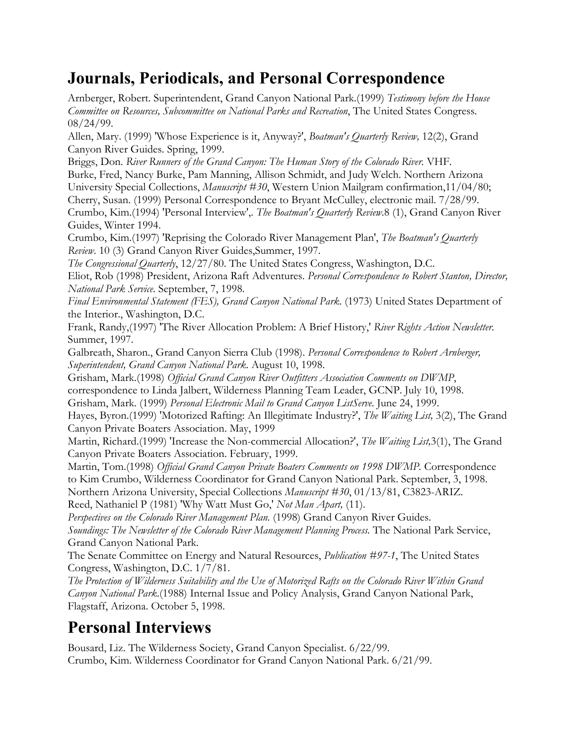# **Journals, Periodicals, and Personal Correspondence**

Arnberger, Robert. Superintendent, Grand Canyon National Park.(1999) *Testimony before the House Committee on Resources, Subcommittee on National Parks and Recreation*, The United States Congress. 08/24/99.

Allen, Mary. (1999) 'Whose Experience is it, Anyway?', *Boatman's Quarterly Review,* 12(2), Grand Canyon River Guides. Spring, 1999.

Briggs, Don. *River Runners of the Grand Canyon: The Human Story of the Colorado River.* VHF.

Burke, Fred, Nancy Burke, Pam Manning, Allison Schmidt, and Judy Welch. Northern Arizona University Special Collections, *Manuscript #30*, Western Union Mailgram confirmation,11/04/80; Cherry, Susan. (1999) Personal Correspondence to Bryant McCulley, electronic mail. 7/28/99. Crumbo, Kim.(1994) 'Personal Interview',. *The Boatman's Quarterly Review*.8 (1), Grand Canyon River Guides, Winter 1994.

Crumbo, Kim.(1997) 'Reprising the Colorado River Management Plan', *The Boatman's Quarterly Review*. 10 (3) Grand Canyon River Guides,Summer, 1997.

*The Congressional Quarterly*, 12/27/80. The United States Congress, Washington, D.C.

Eliot, Rob (1998) President, Arizona Raft Adventures. *Personal Correspondence to Robert Stanton, Director, National Park Service*. September, 7, 1998.

*Final Environmental Statement (FES), Grand Canyon National Park*. (1973) United States Department of the Interior., Washington, D.C.

Frank, Randy,(1997) 'The River Allocation Problem: A Brief History,' *River Rights Action Newsletter.*  Summer, 1997.

Galbreath, Sharon., Grand Canyon Sierra Club (1998). *Personal Correspondence to Robert Arnberger, Superintendent, Grand Canyon National Park*. August 10, 1998.

Grisham, Mark.(1998) *Official Grand Canyon River Outfitters Association Comments on DWMP*,

correspondence to Linda Jalbert, Wilderness Planning Team Leader, GCNP. July 10, 1998.

Grisham, Mark. (1999) *Personal Electronic Mail to Grand Canyon ListServe*. June 24, 1999.

Hayes, Byron.(1999) 'Motorized Rafting: An Illegitimate Industry?', *The Waiting List,* 3(2), The Grand Canyon Private Boaters Association. May, 1999

Martin, Richard.(1999) 'Increase the Non-commercial Allocation?', *The Waiting List,*3(1), The Grand Canyon Private Boaters Association. February, 1999.

Martin, Tom.(1998) *Official Grand Canyon Private Boaters Comments on 1998 DWMP.* Correspondence to Kim Crumbo, Wilderness Coordinator for Grand Canyon National Park. September, 3, 1998. Northern Arizona University, Special Collections *Manuscript #30*, 01/13/81, C3823-ARIZ.

Reed, Nathaniel P (1981) 'Why Watt Must Go,' *Not Man Apart,* (11).

*Perspectives on the Colorado River Management Plan.* (1998) Grand Canyon River Guides. *Soundings: The Newsletter of the Colorado River Management Planning Process.* The National Park Service, Grand Canyon National Park.

The Senate Committee on Energy and Natural Resources, *Publication #97-1*, The United States Congress, Washington, D.C. 1/7/81.

*The Protection of Wilderness Suitability and the Use of Motorized Rafts on the Colorado River Within Grand Canyon National Park*.(1988) Internal Issue and Policy Analysis, Grand Canyon National Park, Flagstaff, Arizona. October 5, 1998.

# **Personal Interviews**

Bousard, Liz. The Wilderness Society, Grand Canyon Specialist. 6/22/99. Crumbo, Kim. Wilderness Coordinator for Grand Canyon National Park. 6/21/99.